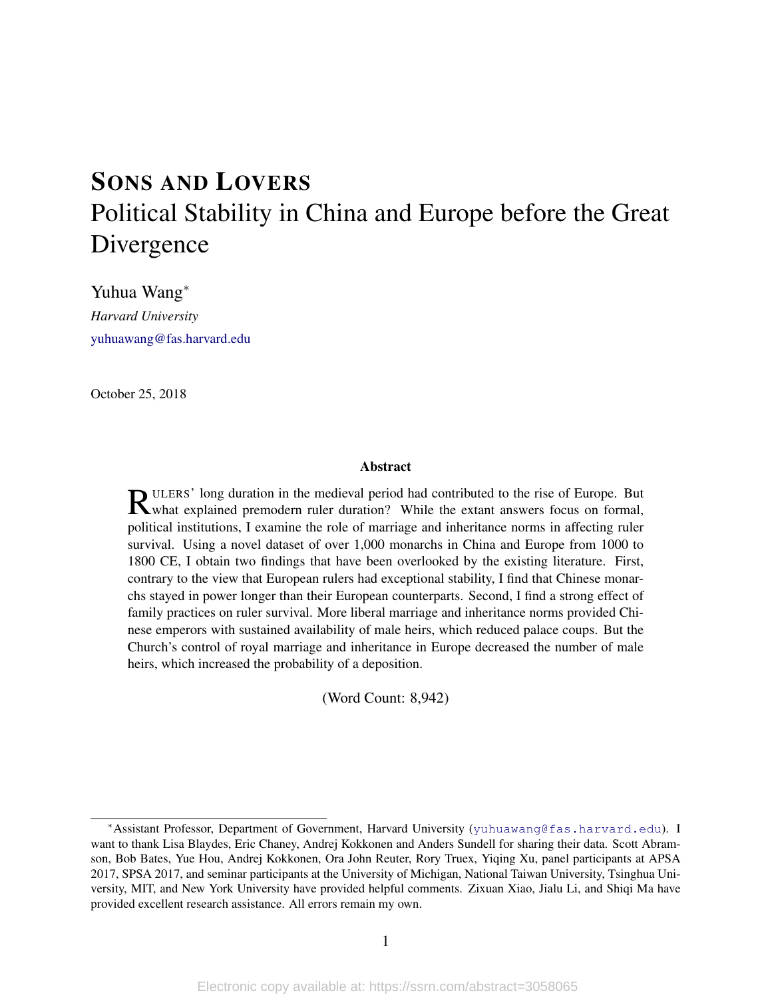# <span id="page-0-0"></span>SONS AND LOVERS Political Stability in China and Europe before the Great Divergence

Yuhua Wang<sup>∗</sup> *Harvard University* <yuhuawang@fas.harvard.edu>

October 25, 2018

#### Abstract

**R**ULERS' long duration in the medieval period had contributed to the rise of Europe. But what explained premodern ruler duration? While the extant answers focus on formal, what explained premodern ruler duration? While the extant answers focus on formal, political institutions, I examine the role of marriage and inheritance norms in affecting ruler survival. Using a novel dataset of over 1,000 monarchs in China and Europe from 1000 to 1800 CE, I obtain two findings that have been overlooked by the existing literature. First, contrary to the view that European rulers had exceptional stability, I find that Chinese monarchs stayed in power longer than their European counterparts. Second, I find a strong effect of family practices on ruler survival. More liberal marriage and inheritance norms provided Chinese emperors with sustained availability of male heirs, which reduced palace coups. But the Church's control of royal marriage and inheritance in Europe decreased the number of male heirs, which increased the probability of a deposition.

(Word Count: 8,942)

<sup>∗</sup>Assistant Professor, Department of Government, Harvard University (<yuhuawang@fas.harvard.edu>). I want to thank Lisa Blaydes, Eric Chaney, Andrej Kokkonen and Anders Sundell for sharing their data. Scott Abramson, Bob Bates, Yue Hou, Andrej Kokkonen, Ora John Reuter, Rory Truex, Yiqing Xu, panel participants at APSA 2017, SPSA 2017, and seminar participants at the University of Michigan, National Taiwan University, Tsinghua University, MIT, and New York University have provided helpful comments. Zixuan Xiao, Jialu Li, and Shiqi Ma have provided excellent research assistance. All errors remain my own.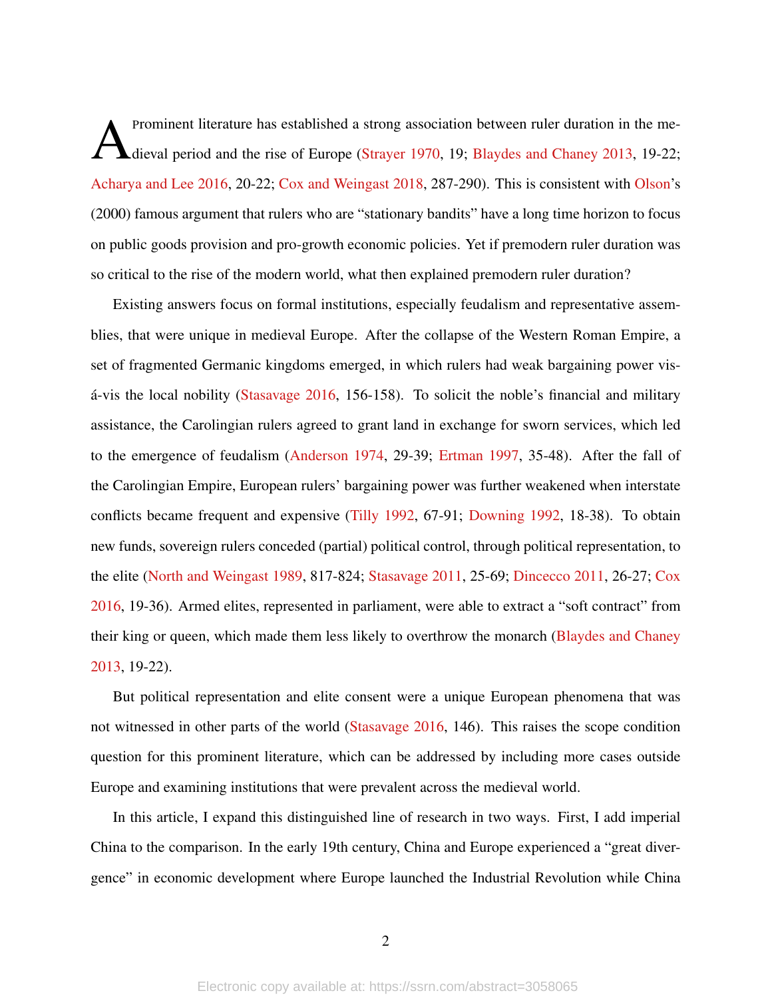A Prominent literature has established a strong association between ruler duration in the me-dieval period and the rise of Europe [\(Strayer](#page-31-0) [1970,](#page-31-0) 19; [Blaydes and Chaney](#page-28-0) [2013,](#page-28-0) 19-22; [Acharya and Lee](#page-28-1) [2016,](#page-28-1) 20-22; [Cox and Weingast](#page-28-2) [2018,](#page-28-2) 287-290). This is consistent with [Olson'](#page-31-1)s (2000) famous argument that rulers who are "stationary bandits" have a long time horizon to focus on public goods provision and pro-growth economic policies. Yet if premodern ruler duration was so critical to the rise of the modern world, what then explained premodern ruler duration?

Existing answers focus on formal institutions, especially feudalism and representative assemblies, that were unique in medieval Europe. After the collapse of the Western Roman Empire, a set of fragmented Germanic kingdoms emerged, in which rulers had weak bargaining power vis-á-vis the local nobility ([Stasavage](#page-31-2)  $2016$ , 156-158). To solicit the noble's financial and military assistance, the Carolingian rulers agreed to grant land in exchange for sworn services, which led to the emergence of feudalism [\(Anderson](#page-28-3) [1974,](#page-28-3) 29-39; [Ertman](#page-29-0) [1997,](#page-29-0) 35-48). After the fall of the Carolingian Empire, European rulers' bargaining power was further weakened when interstate conflicts became frequent and expensive [\(Tilly](#page-31-3) [1992,](#page-31-3) 67-91; [Downing](#page-29-1) [1992,](#page-29-1) 18-38). To obtain new funds, sovereign rulers conceded (partial) political control, through political representation, to the elite [\(North and Weingast](#page-31-4) [1989,](#page-31-4) 817-824; [Stasavage](#page-31-5) [2011,](#page-31-5) 25-69; [Dincecco](#page-29-2) [2011,](#page-29-2) 26-27; [Cox](#page-28-4) [2016,](#page-28-4) 19-36). Armed elites, represented in parliament, were able to extract a "soft contract" from their king or queen, which made them less likely to overthrow the monarch [\(Blaydes and Chaney](#page-28-0) [2013,](#page-28-0) 19-22).

But political representation and elite consent were a unique European phenomena that was not witnessed in other parts of the world [\(Stasavage](#page-31-2) [2016,](#page-31-2) 146). This raises the scope condition question for this prominent literature, which can be addressed by including more cases outside Europe and examining institutions that were prevalent across the medieval world.

In this article, I expand this distinguished line of research in two ways. First, I add imperial China to the comparison. In the early 19th century, China and Europe experienced a "great divergence" in economic development where Europe launched the Industrial Revolution while China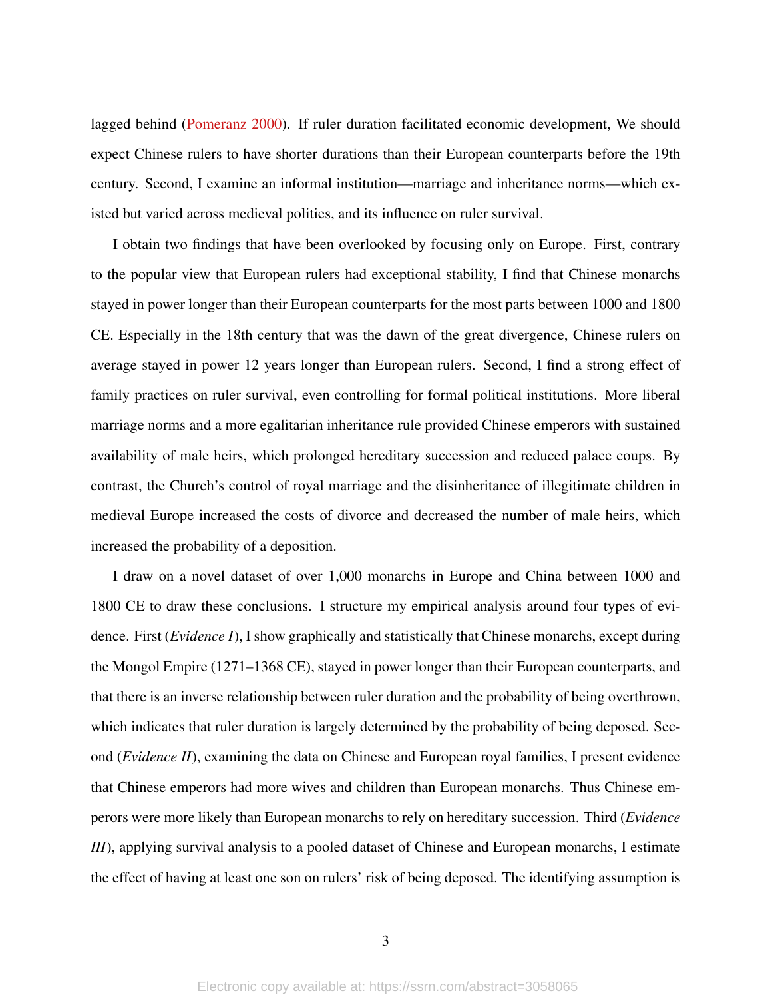lagged behind [\(Pomeranz](#page-31-6) [2000\)](#page-31-6). If ruler duration facilitated economic development, We should expect Chinese rulers to have shorter durations than their European counterparts before the 19th century. Second, I examine an informal institution—marriage and inheritance norms—which existed but varied across medieval polities, and its influence on ruler survival.

I obtain two findings that have been overlooked by focusing only on Europe. First, contrary to the popular view that European rulers had exceptional stability, I find that Chinese monarchs stayed in power longer than their European counterparts for the most parts between 1000 and 1800 CE. Especially in the 18th century that was the dawn of the great divergence, Chinese rulers on average stayed in power 12 years longer than European rulers. Second, I find a strong effect of family practices on ruler survival, even controlling for formal political institutions. More liberal marriage norms and a more egalitarian inheritance rule provided Chinese emperors with sustained availability of male heirs, which prolonged hereditary succession and reduced palace coups. By contrast, the Church's control of royal marriage and the disinheritance of illegitimate children in medieval Europe increased the costs of divorce and decreased the number of male heirs, which increased the probability of a deposition.

I draw on a novel dataset of over 1,000 monarchs in Europe and China between 1000 and 1800 CE to draw these conclusions. I structure my empirical analysis around four types of evidence. First (*Evidence I*), I show graphically and statistically that Chinese monarchs, except during the Mongol Empire (1271–1368 CE), stayed in power longer than their European counterparts, and that there is an inverse relationship between ruler duration and the probability of being overthrown, which indicates that ruler duration is largely determined by the probability of being deposed. Second (*Evidence II*), examining the data on Chinese and European royal families, I present evidence that Chinese emperors had more wives and children than European monarchs. Thus Chinese emperors were more likely than European monarchs to rely on hereditary succession. Third (*Evidence III*), applying survival analysis to a pooled dataset of Chinese and European monarchs, I estimate the effect of having at least one son on rulers' risk of being deposed. The identifying assumption is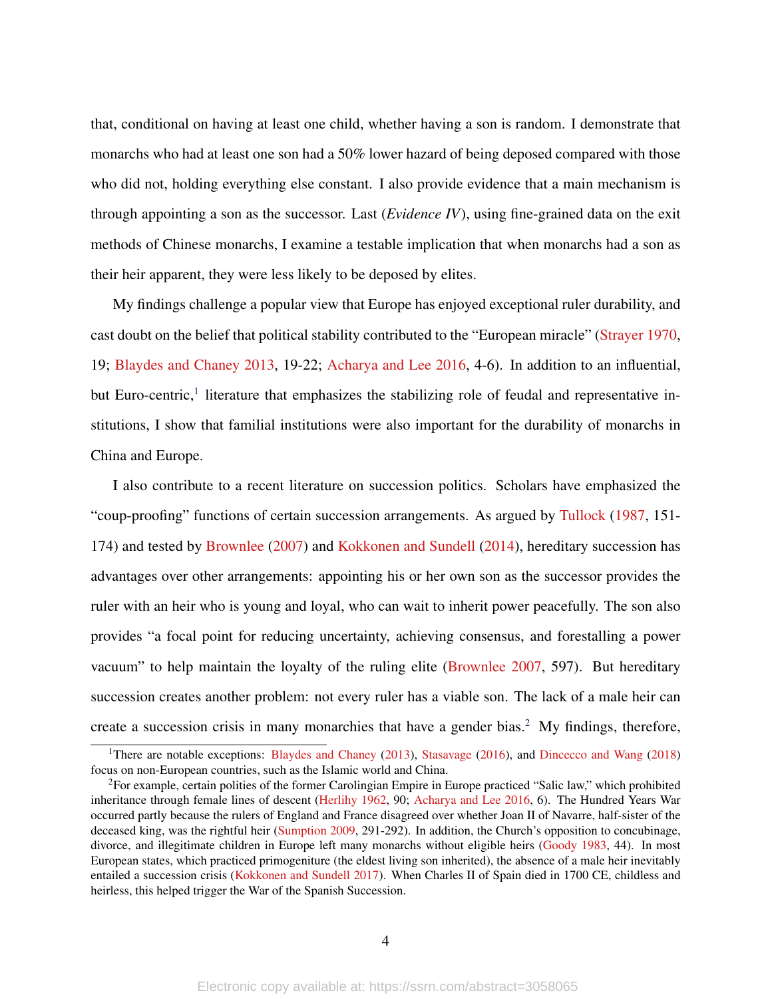that, conditional on having at least one child, whether having a son is random. I demonstrate that monarchs who had at least one son had a 50% lower hazard of being deposed compared with those who did not, holding everything else constant. I also provide evidence that a main mechanism is through appointing a son as the successor. Last (*Evidence IV*), using fine-grained data on the exit methods of Chinese monarchs, I examine a testable implication that when monarchs had a son as their heir apparent, they were less likely to be deposed by elites.

My findings challenge a popular view that Europe has enjoyed exceptional ruler durability, and cast doubt on the belief that political stability contributed to the "European miracle" [\(Strayer](#page-31-0) [1970,](#page-31-0) 19; [Blaydes and Chaney](#page-28-0) [2013,](#page-28-0) 19-22; [Acharya and Lee](#page-28-1) [2016,](#page-28-1) 4-6). In addition to an influential, but Euro-centric,<sup>[1](#page-0-0)</sup> literature that emphasizes the stabilizing role of feudal and representative institutions, I show that familial institutions were also important for the durability of monarchs in China and Europe.

I also contribute to a recent literature on succession politics. Scholars have emphasized the "coup-proofing" functions of certain succession arrangements. As argued by [Tullock](#page-32-0) [\(1987,](#page-32-0) 151- 174) and tested by [Brownlee](#page-28-5) [\(2007\)](#page-28-5) and [Kokkonen and Sundell](#page-30-0) [\(2014\)](#page-30-0), hereditary succession has advantages over other arrangements: appointing his or her own son as the successor provides the ruler with an heir who is young and loyal, who can wait to inherit power peacefully. The son also provides "a focal point for reducing uncertainty, achieving consensus, and forestalling a power vacuum" to help maintain the loyalty of the ruling elite [\(Brownlee](#page-28-5) [2007,](#page-28-5) 597). But hereditary succession creates another problem: not every ruler has a viable son. The lack of a male heir can create a succession crisis in many monarchies that have a gender bias.<sup>[2](#page-0-0)</sup> My findings, therefore,

<sup>&</sup>lt;sup>1</sup>There are notable exceptions: [Blaydes and Chaney](#page-28-0) [\(2013\)](#page-28-0), [Stasavage](#page-31-2) [\(2016\)](#page-31-2), and [Dincecco and Wang](#page-29-3) [\(2018\)](#page-29-3) focus on non-European countries, such as the Islamic world and China.

<sup>&</sup>lt;sup>2</sup>For example, certain polities of the former Carolingian Empire in Europe practiced "Salic law," which prohibited inheritance through female lines of descent [\(Herlihy](#page-29-4) [1962,](#page-29-4) 90; [Acharya and Lee](#page-28-1) [2016,](#page-28-1) 6). The Hundred Years War occurred partly because the rulers of England and France disagreed over whether Joan II of Navarre, half-sister of the deceased king, was the rightful heir [\(Sumption](#page-31-7) [2009,](#page-31-7) 291-292). In addition, the Church's opposition to concubinage, divorce, and illegitimate children in Europe left many monarchs without eligible heirs [\(Goody](#page-29-5) [1983,](#page-29-5) 44). In most European states, which practiced primogeniture (the eldest living son inherited), the absence of a male heir inevitably entailed a succession crisis [\(Kokkonen and Sundell](#page-30-1) [2017\)](#page-30-1). When Charles II of Spain died in 1700 CE, childless and heirless, this helped trigger the War of the Spanish Succession.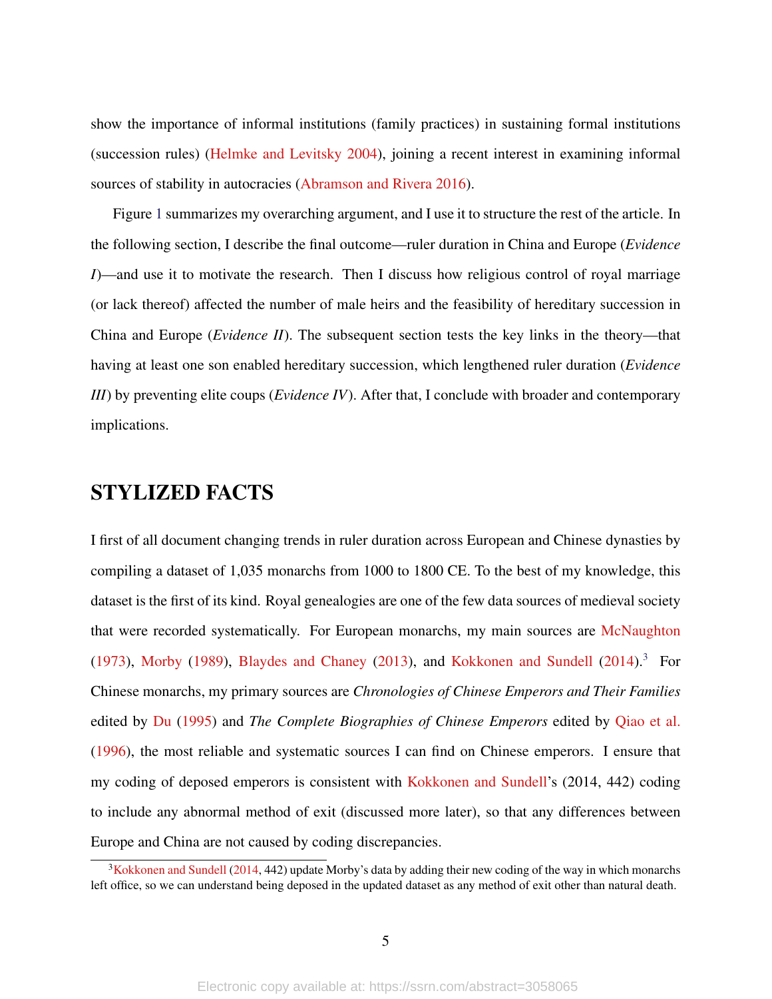show the importance of informal institutions (family practices) in sustaining formal institutions (succession rules) [\(Helmke and Levitsky](#page-29-6) [2004\)](#page-29-6), joining a recent interest in examining informal sources of stability in autocracies [\(Abramson and Rivera](#page-28-6) [2016\)](#page-28-6).

Figure [1](#page-5-0) summarizes my overarching argument, and I use it to structure the rest of the article. In the following section, I describe the final outcome—ruler duration in China and Europe (*Evidence I*)—and use it to motivate the research. Then I discuss how religious control of royal marriage (or lack thereof) affected the number of male heirs and the feasibility of hereditary succession in China and Europe (*Evidence II*). The subsequent section tests the key links in the theory—that having at least one son enabled hereditary succession, which lengthened ruler duration (*Evidence III*) by preventing elite coups (*Evidence IV*). After that, I conclude with broader and contemporary implications.

### STYLIZED FACTS

I first of all document changing trends in ruler duration across European and Chinese dynasties by compiling a dataset of 1,035 monarchs from 1000 to 1800 CE. To the best of my knowledge, this dataset is the first of its kind. Royal genealogies are one of the few data sources of medieval society that were recorded systematically. For European monarchs, my main sources are [McNaughton](#page-31-8) [\(1973\)](#page-31-8), [Morby](#page-31-9) [\(1989\)](#page-31-9), [Blaydes and Chaney](#page-28-0) [\(2013\)](#page-28-0), and [Kokkonen and Sundell](#page-30-0) [\(2014\)](#page-30-0).<sup>[3](#page-0-0)</sup> For Chinese monarchs, my primary sources are *Chronologies of Chinese Emperors and Their Families* edited by [Du](#page-29-7) [\(1995\)](#page-29-7) and *The Complete Biographies of Chinese Emperors* edited by [Qiao et al.](#page-31-10) [\(1996\)](#page-31-10), the most reliable and systematic sources I can find on Chinese emperors. I ensure that my coding of deposed emperors is consistent with [Kokkonen and Sundell'](#page-30-0)s (2014, 442) coding to include any abnormal method of exit (discussed more later), so that any differences between Europe and China are not caused by coding discrepancies.

<sup>&</sup>lt;sup>3</sup>[Kokkonen and Sundell](#page-30-0) [\(2014,](#page-30-0) 442) update Morby's data by adding their new coding of the way in which monarchs left office, so we can understand being deposed in the updated dataset as any method of exit other than natural death.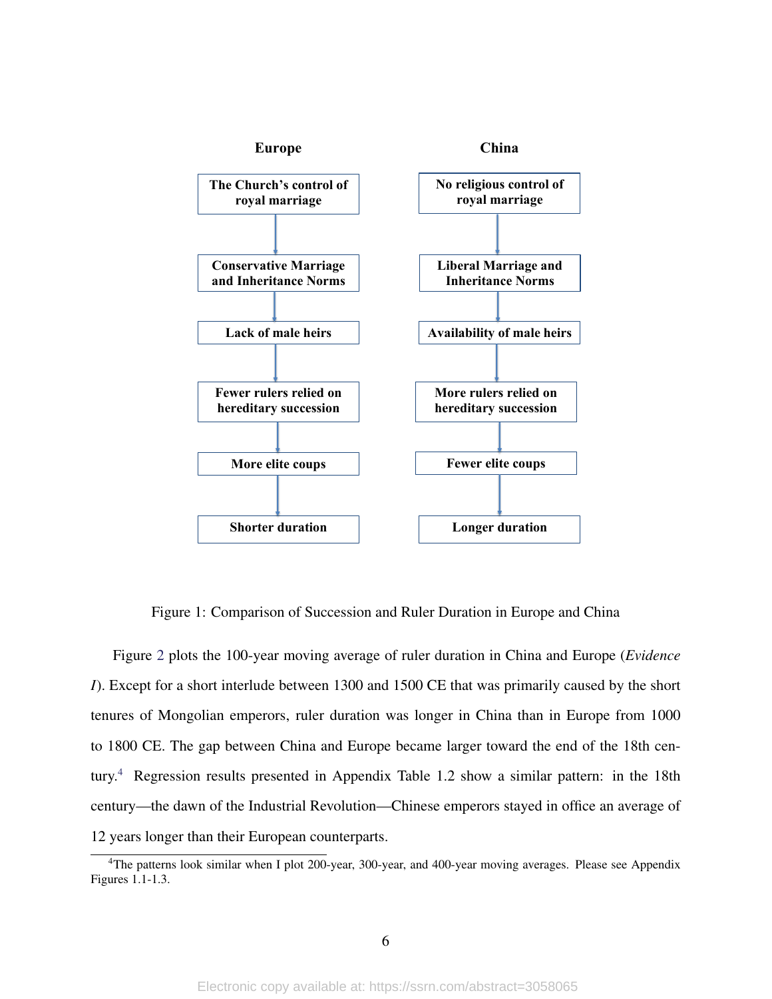

<span id="page-5-0"></span>Figure 1: Comparison of Succession and Ruler Duration in Europe and China

Figure [2](#page-6-0) plots the 100-year moving average of ruler duration in China and Europe (*Evidence I*). Except for a short interlude between 1300 and 1500 CE that was primarily caused by the short tenures of Mongolian emperors, ruler duration was longer in China than in Europe from 1000 to 1800 CE. The gap between China and Europe became larger toward the end of the 18th century.[4](#page-0-0) Regression results presented in Appendix Table 1.2 show a similar pattern: in the 18th century—the dawn of the Industrial Revolution—Chinese emperors stayed in office an average of 12 years longer than their European counterparts.

<sup>&</sup>lt;sup>4</sup>The patterns look similar when I plot 200-year, 300-year, and 400-year moving averages. Please see Appendix Figures 1.1-1.3.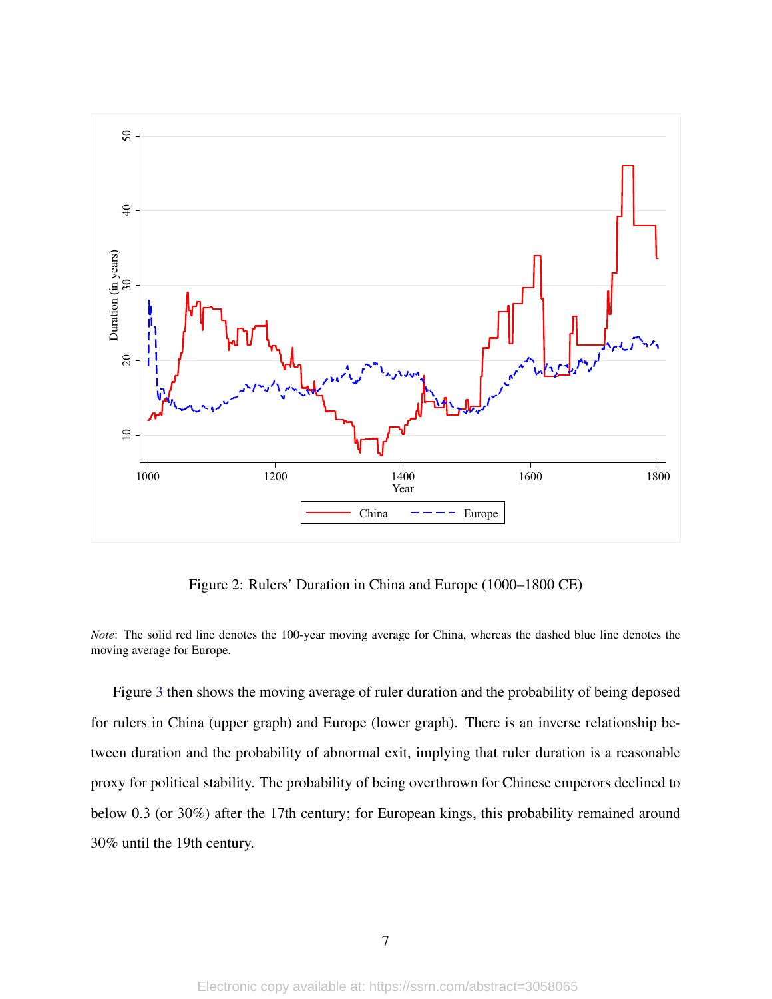

<span id="page-6-0"></span>Figure 2: Rulers' Duration in China and Europe (1000–1800 CE)

*Note*: The solid red line denotes the 100-year moving average for China, whereas the dashed blue line denotes the moving average for Europe.

Figure [3](#page-7-0) then shows the moving average of ruler duration and the probability of being deposed for rulers in China (upper graph) and Europe (lower graph). There is an inverse relationship between duration and the probability of abnormal exit, implying that ruler duration is a reasonable proxy for political stability. The probability of being overthrown for Chinese emperors declined to below 0.3 (or 30%) after the 17th century; for European kings, this probability remained around 30% until the 19th century.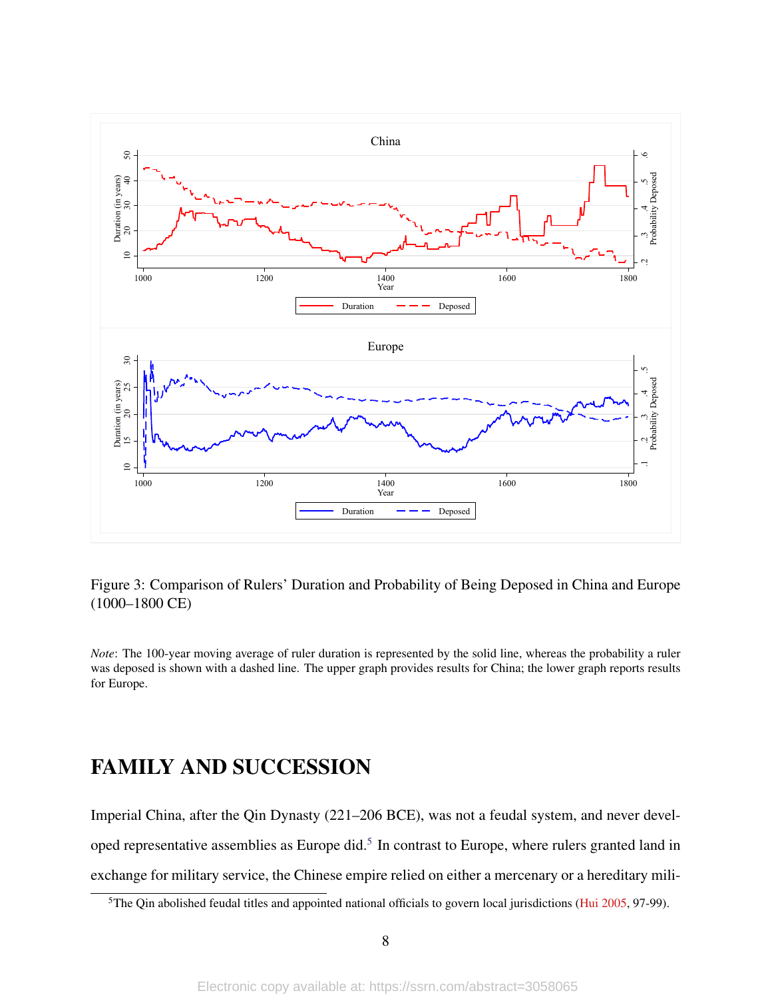

<span id="page-7-0"></span>Figure 3: Comparison of Rulers' Duration and Probability of Being Deposed in China and Europe (1000–1800 CE)

*Note*: The 100-year moving average of ruler duration is represented by the solid line, whereas the probability a ruler was deposed is shown with a dashed line. The upper graph provides results for China; the lower graph reports results for Europe.

## FAMILY AND SUCCESSION

Imperial China, after the Qin Dynasty (221–206 BCE), was not a feudal system, and never devel-oped representative assemblies as Europe did.<sup>[5](#page-0-0)</sup> In contrast to Europe, where rulers granted land in exchange for military service, the Chinese empire relied on either a mercenary or a hereditary mili-

<sup>&</sup>lt;sup>5</sup>The Qin abolished feudal titles and appointed national officials to govern local jurisdictions [\(Hui](#page-30-2) [2005,](#page-30-2) 97-99).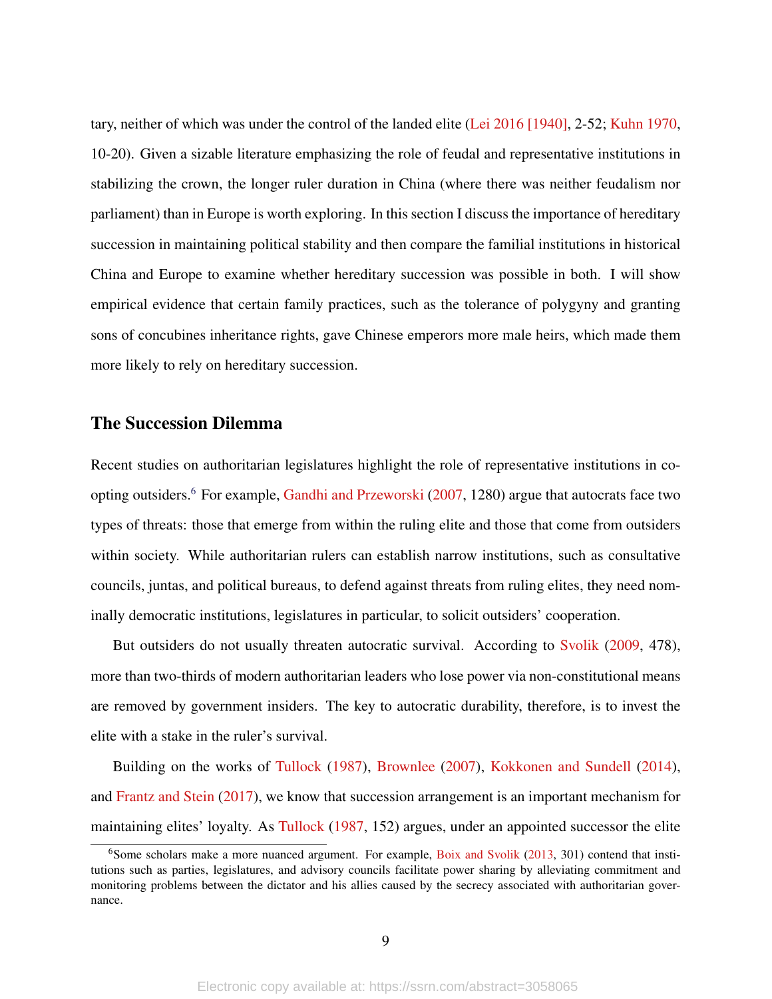tary, neither of which was under the control of the landed elite [\(Lei](#page-30-3) [2016 \[1940\],](#page-30-3) 2-52; [Kuhn](#page-30-4) [1970,](#page-30-4) 10-20). Given a sizable literature emphasizing the role of feudal and representative institutions in stabilizing the crown, the longer ruler duration in China (where there was neither feudalism nor parliament) than in Europe is worth exploring. In this section I discuss the importance of hereditary succession in maintaining political stability and then compare the familial institutions in historical China and Europe to examine whether hereditary succession was possible in both. I will show empirical evidence that certain family practices, such as the tolerance of polygyny and granting sons of concubines inheritance rights, gave Chinese emperors more male heirs, which made them more likely to rely on hereditary succession.

### The Succession Dilemma

Recent studies on authoritarian legislatures highlight the role of representative institutions in coopting outsiders.[6](#page-0-0) For example, [Gandhi and Przeworski](#page-29-8) [\(2007,](#page-29-8) 1280) argue that autocrats face two types of threats: those that emerge from within the ruling elite and those that come from outsiders within society. While authoritarian rulers can establish narrow institutions, such as consultative councils, juntas, and political bureaus, to defend against threats from ruling elites, they need nominally democratic institutions, legislatures in particular, to solicit outsiders' cooperation.

But outsiders do not usually threaten autocratic survival. According to [Svolik](#page-31-11) [\(2009,](#page-31-11) 478), more than two-thirds of modern authoritarian leaders who lose power via non-constitutional means are removed by government insiders. The key to autocratic durability, therefore, is to invest the elite with a stake in the ruler's survival.

Building on the works of [Tullock](#page-32-0) [\(1987\)](#page-32-0), [Brownlee](#page-28-5) [\(2007\)](#page-28-5), [Kokkonen and Sundell](#page-30-0) [\(2014\)](#page-30-0), and [Frantz and Stein](#page-29-9) [\(2017\)](#page-29-9), we know that succession arrangement is an important mechanism for maintaining elites' loyalty. As [Tullock](#page-32-0) [\(1987,](#page-32-0) 152) argues, under an appointed successor the elite

<sup>&</sup>lt;sup>6</sup>Some scholars make a more nuanced argument. For example, [Boix and Svolik](#page-28-7) [\(2013,](#page-28-7) 301) contend that institutions such as parties, legislatures, and advisory councils facilitate power sharing by alleviating commitment and monitoring problems between the dictator and his allies caused by the secrecy associated with authoritarian governance.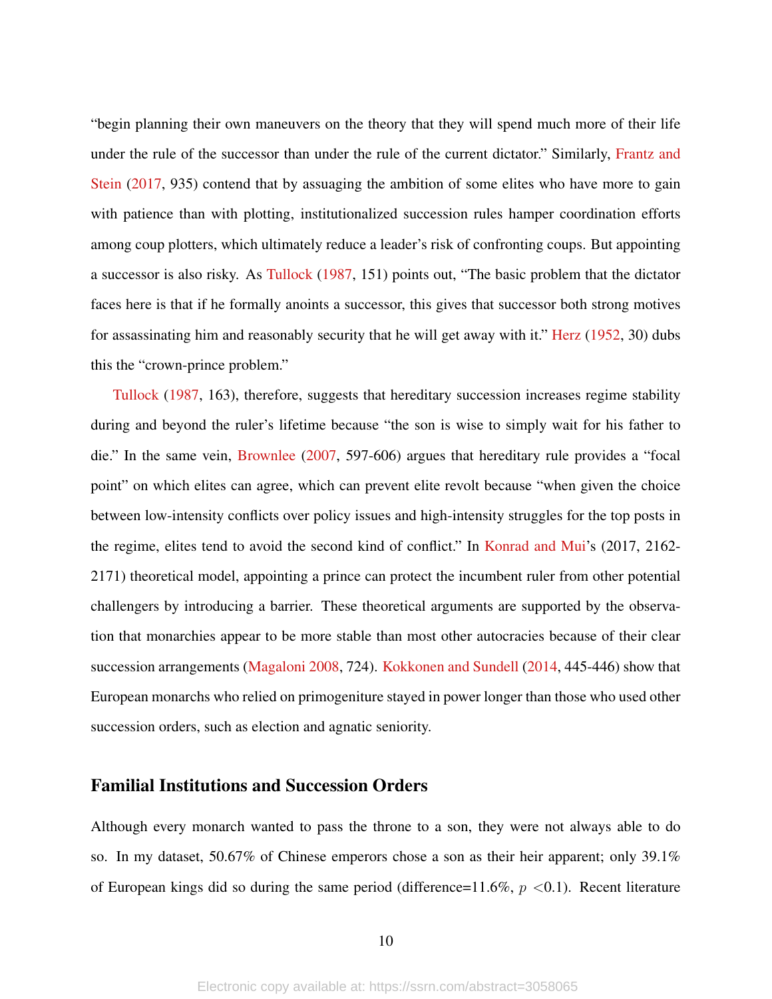"begin planning their own maneuvers on the theory that they will spend much more of their life under the rule of the successor than under the rule of the current dictator." Similarly, [Frantz and](#page-29-9) [Stein](#page-29-9) [\(2017,](#page-29-9) 935) contend that by assuaging the ambition of some elites who have more to gain with patience than with plotting, institutionalized succession rules hamper coordination efforts among coup plotters, which ultimately reduce a leader's risk of confronting coups. But appointing a successor is also risky. As [Tullock](#page-32-0) [\(1987,](#page-32-0) 151) points out, "The basic problem that the dictator faces here is that if he formally anoints a successor, this gives that successor both strong motives for assassinating him and reasonably security that he will get away with it." [Herz](#page-29-10) [\(1952,](#page-29-10) 30) dubs this the "crown-prince problem."

[Tullock](#page-32-0) [\(1987,](#page-32-0) 163), therefore, suggests that hereditary succession increases regime stability during and beyond the ruler's lifetime because "the son is wise to simply wait for his father to die." In the same vein, [Brownlee](#page-28-5) [\(2007,](#page-28-5) 597-606) argues that hereditary rule provides a "focal point" on which elites can agree, which can prevent elite revolt because "when given the choice between low-intensity conflicts over policy issues and high-intensity struggles for the top posts in the regime, elites tend to avoid the second kind of conflict." In [Konrad and Mui'](#page-30-5)s (2017, 2162- 2171) theoretical model, appointing a prince can protect the incumbent ruler from other potential challengers by introducing a barrier. These theoretical arguments are supported by the observation that monarchies appear to be more stable than most other autocracies because of their clear succession arrangements [\(Magaloni](#page-30-6) [2008,](#page-30-6) 724). [Kokkonen and Sundell](#page-30-0) [\(2014,](#page-30-0) 445-446) show that European monarchs who relied on primogeniture stayed in power longer than those who used other succession orders, such as election and agnatic seniority.

#### Familial Institutions and Succession Orders

Although every monarch wanted to pass the throne to a son, they were not always able to do so. In my dataset, 50.67% of Chinese emperors chose a son as their heir apparent; only 39.1% of European kings did so during the same period (difference=11.6%,  $p < 0.1$ ). Recent literature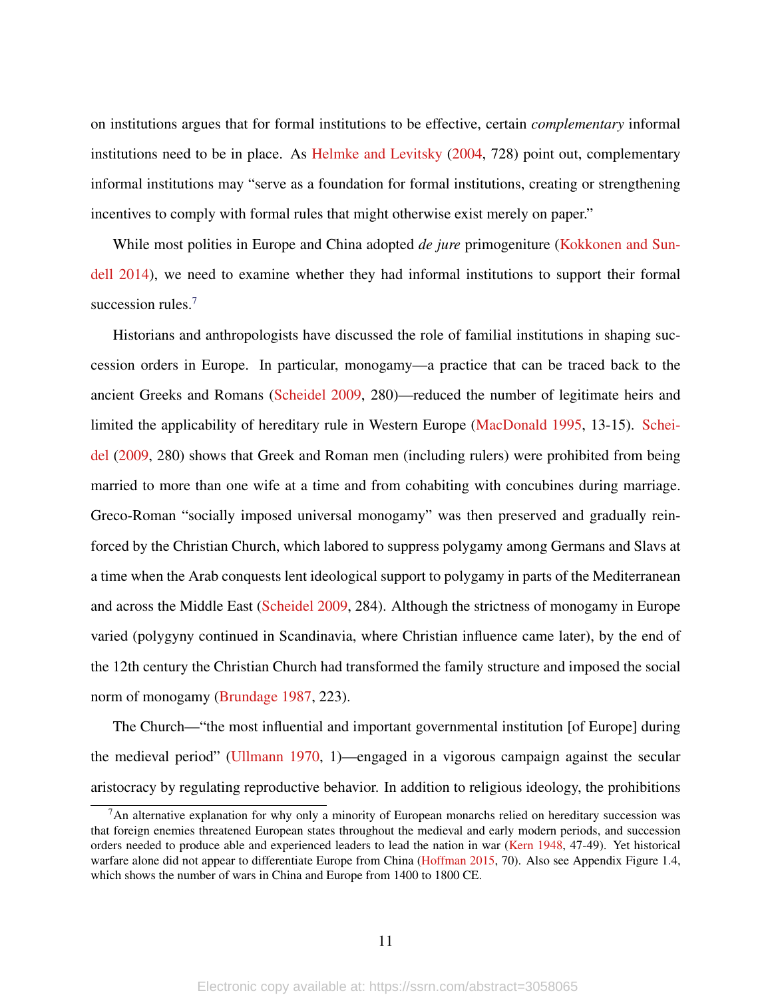on institutions argues that for formal institutions to be effective, certain *complementary* informal institutions need to be in place. As [Helmke and Levitsky](#page-29-6) [\(2004,](#page-29-6) 728) point out, complementary informal institutions may "serve as a foundation for formal institutions, creating or strengthening incentives to comply with formal rules that might otherwise exist merely on paper."

While most polities in Europe and China adopted *de jure* primogeniture [\(Kokkonen and Sun](#page-30-0)[dell](#page-30-0) [2014\)](#page-30-0), we need to examine whether they had informal institutions to support their formal succession rules.<sup>[7](#page-0-0)</sup>

Historians and anthropologists have discussed the role of familial institutions in shaping succession orders in Europe. In particular, monogamy—a practice that can be traced back to the ancient Greeks and Romans [\(Scheidel](#page-31-12) [2009,](#page-31-12) 280)—reduced the number of legitimate heirs and limited the applicability of hereditary rule in Western Europe [\(MacDonald](#page-30-7) [1995,](#page-30-7) 13-15). [Schei](#page-31-12)[del](#page-31-12) [\(2009,](#page-31-12) 280) shows that Greek and Roman men (including rulers) were prohibited from being married to more than one wife at a time and from cohabiting with concubines during marriage. Greco-Roman "socially imposed universal monogamy" was then preserved and gradually reinforced by the Christian Church, which labored to suppress polygamy among Germans and Slavs at a time when the Arab conquests lent ideological support to polygamy in parts of the Mediterranean and across the Middle East [\(Scheidel](#page-31-12) [2009,](#page-31-12) 284). Although the strictness of monogamy in Europe varied (polygyny continued in Scandinavia, where Christian influence came later), by the end of the 12th century the Christian Church had transformed the family structure and imposed the social norm of monogamy [\(Brundage](#page-28-8) [1987,](#page-28-8) 223).

The Church—"the most influential and important governmental institution [of Europe] during the medieval period" [\(Ullmann](#page-32-1) [1970,](#page-32-1) 1)—engaged in a vigorous campaign against the secular aristocracy by regulating reproductive behavior. In addition to religious ideology, the prohibitions

<sup>7</sup>An alternative explanation for why only a minority of European monarchs relied on hereditary succession was that foreign enemies threatened European states throughout the medieval and early modern periods, and succession orders needed to produce able and experienced leaders to lead the nation in war [\(Kern](#page-30-8) [1948,](#page-30-8) 47-49). Yet historical warfare alone did not appear to differentiate Europe from China [\(Hoffman](#page-29-11) [2015,](#page-29-11) 70). Also see Appendix Figure 1.4, which shows the number of wars in China and Europe from 1400 to 1800 CE.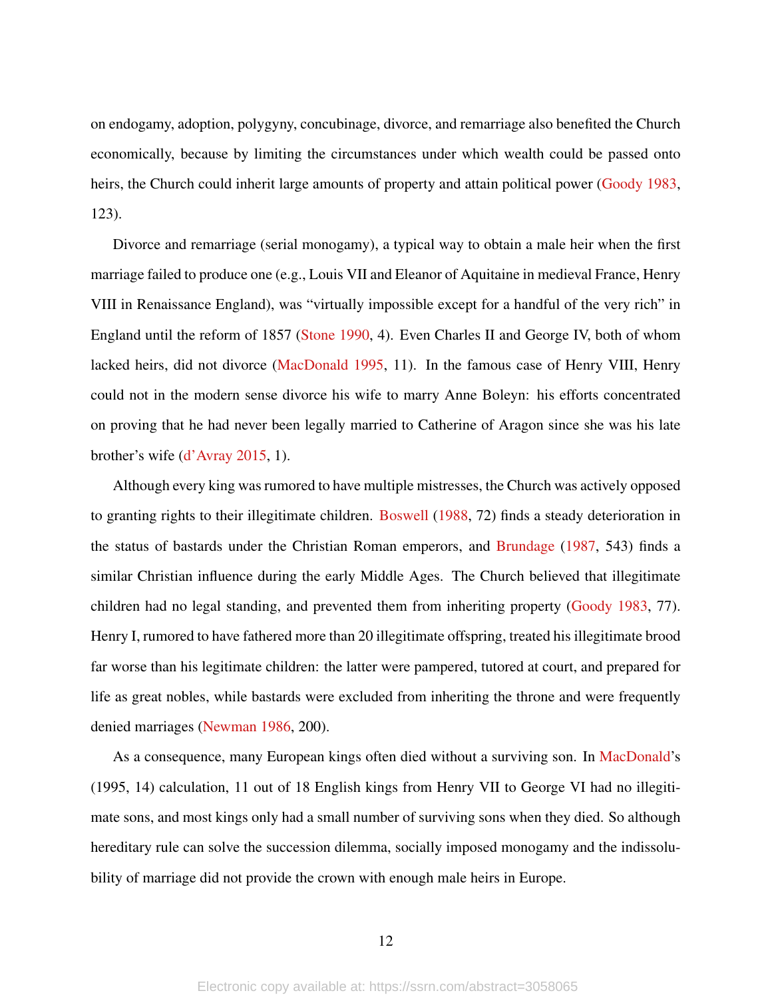on endogamy, adoption, polygyny, concubinage, divorce, and remarriage also benefited the Church economically, because by limiting the circumstances under which wealth could be passed onto heirs, the Church could inherit large amounts of property and attain political power [\(Goody](#page-29-5) [1983,](#page-29-5) 123).

Divorce and remarriage (serial monogamy), a typical way to obtain a male heir when the first marriage failed to produce one (e.g., Louis VII and Eleanor of Aquitaine in medieval France, Henry VIII in Renaissance England), was "virtually impossible except for a handful of the very rich" in England until the reform of 1857 [\(Stone](#page-31-13) [1990,](#page-31-13) 4). Even Charles II and George IV, both of whom lacked heirs, did not divorce [\(MacDonald](#page-30-7) [1995,](#page-30-7) 11). In the famous case of Henry VIII, Henry could not in the modern sense divorce his wife to marry Anne Boleyn: his efforts concentrated on proving that he had never been legally married to Catherine of Aragon since she was his late brother's wife [\(d'Avray](#page-28-9) [2015,](#page-28-9) 1).

Although every king was rumored to have multiple mistresses, the Church was actively opposed to granting rights to their illegitimate children. [Boswell](#page-28-10) [\(1988,](#page-28-10) 72) finds a steady deterioration in the status of bastards under the Christian Roman emperors, and [Brundage](#page-28-8) [\(1987,](#page-28-8) 543) finds a similar Christian influence during the early Middle Ages. The Church believed that illegitimate children had no legal standing, and prevented them from inheriting property [\(Goody](#page-29-5) [1983,](#page-29-5) 77). Henry I, rumored to have fathered more than 20 illegitimate offspring, treated his illegitimate brood far worse than his legitimate children: the latter were pampered, tutored at court, and prepared for life as great nobles, while bastards were excluded from inheriting the throne and were frequently denied marriages [\(Newman](#page-31-14) [1986,](#page-31-14) 200).

As a consequence, many European kings often died without a surviving son. In [MacDonald'](#page-30-7)s (1995, 14) calculation, 11 out of 18 English kings from Henry VII to George VI had no illegitimate sons, and most kings only had a small number of surviving sons when they died. So although hereditary rule can solve the succession dilemma, socially imposed monogamy and the indissolubility of marriage did not provide the crown with enough male heirs in Europe.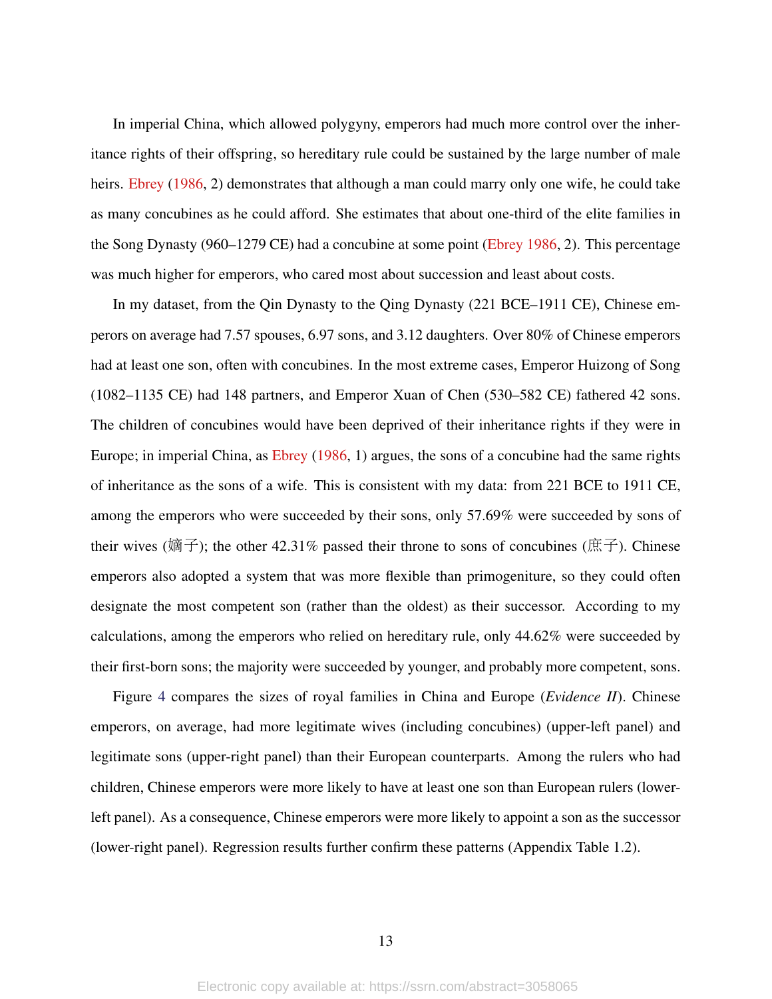In imperial China, which allowed polygyny, emperors had much more control over the inheritance rights of their offspring, so hereditary rule could be sustained by the large number of male heirs. [Ebrey](#page-29-12) [\(1986,](#page-29-12) 2) demonstrates that although a man could marry only one wife, he could take as many concubines as he could afford. She estimates that about one-third of the elite families in the Song Dynasty (960–1279 CE) had a concubine at some point [\(Ebrey](#page-29-12) [1986,](#page-29-12) 2). This percentage was much higher for emperors, who cared most about succession and least about costs.

In my dataset, from the Qin Dynasty to the Qing Dynasty (221 BCE–1911 CE), Chinese emperors on average had 7.57 spouses, 6.97 sons, and 3.12 daughters. Over 80% of Chinese emperors had at least one son, often with concubines. In the most extreme cases, Emperor Huizong of Song (1082–1135 CE) had 148 partners, and Emperor Xuan of Chen (530–582 CE) fathered 42 sons. The children of concubines would have been deprived of their inheritance rights if they were in Europe; in imperial China, as [Ebrey](#page-29-12) [\(1986,](#page-29-12) 1) argues, the sons of a concubine had the same rights of inheritance as the sons of a wife. This is consistent with my data: from 221 BCE to 1911 CE, among the emperors who were succeeded by their sons, only 57.69% were succeeded by sons of their wives (嫡子); the other 42.31% passed their throne to sons of concubines (庶子). Chinese emperors also adopted a system that was more flexible than primogeniture, so they could often designate the most competent son (rather than the oldest) as their successor. According to my calculations, among the emperors who relied on hereditary rule, only 44.62% were succeeded by their first-born sons; the majority were succeeded by younger, and probably more competent, sons.

Figure [4](#page-13-0) compares the sizes of royal families in China and Europe (*Evidence II*). Chinese emperors, on average, had more legitimate wives (including concubines) (upper-left panel) and legitimate sons (upper-right panel) than their European counterparts. Among the rulers who had children, Chinese emperors were more likely to have at least one son than European rulers (lowerleft panel). As a consequence, Chinese emperors were more likely to appoint a son as the successor (lower-right panel). Regression results further confirm these patterns (Appendix Table 1.2).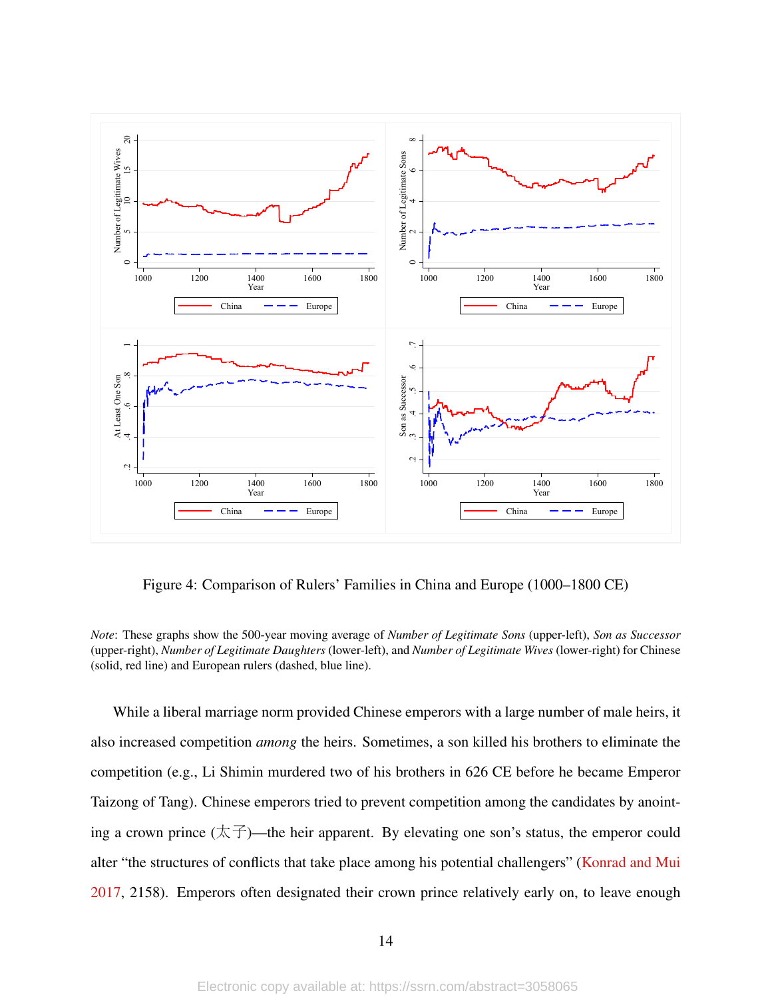

<span id="page-13-0"></span>Figure 4: Comparison of Rulers' Families in China and Europe (1000–1800 CE)

*Note*: These graphs show the 500-year moving average of *Number of Legitimate Sons* (upper-left), *Son as Successor* (upper-right), *Number of Legitimate Daughters* (lower-left), and *Number of Legitimate Wives* (lower-right) for Chinese (solid, red line) and European rulers (dashed, blue line).

While a liberal marriage norm provided Chinese emperors with a large number of male heirs, it also increased competition *among* the heirs. Sometimes, a son killed his brothers to eliminate the competition (e.g., Li Shimin murdered two of his brothers in 626 CE before he became Emperor Taizong of Tang). Chinese emperors tried to prevent competition among the candidates by anointing a crown prince  $(\overline{\mathcal{K}}\overline{\mathcal{F}})$ —the heir apparent. By elevating one son's status, the emperor could alter "the structures of conflicts that take place among his potential challengers" [\(Konrad and Mui](#page-30-5) [2017,](#page-30-5) 2158). Emperors often designated their crown prince relatively early on, to leave enough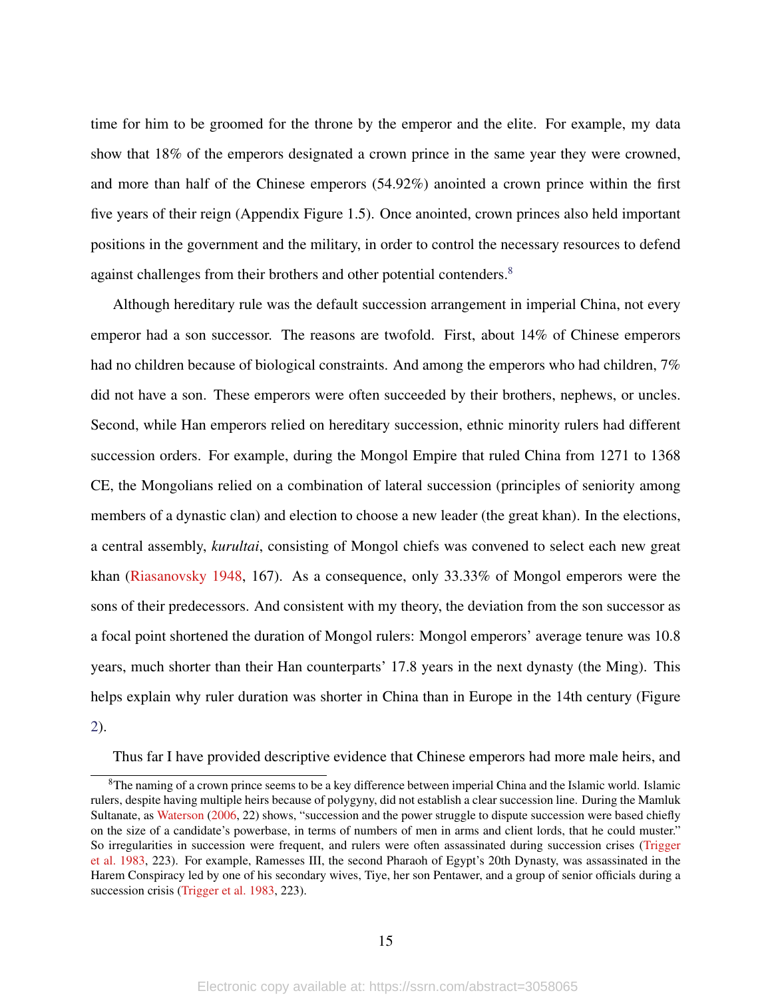time for him to be groomed for the throne by the emperor and the elite. For example, my data show that 18% of the emperors designated a crown prince in the same year they were crowned, and more than half of the Chinese emperors (54.92%) anointed a crown prince within the first five years of their reign (Appendix Figure 1.5). Once anointed, crown princes also held important positions in the government and the military, in order to control the necessary resources to defend against challenges from their brothers and other potential contenders.<sup>[8](#page-0-0)</sup>

Although hereditary rule was the default succession arrangement in imperial China, not every emperor had a son successor. The reasons are twofold. First, about 14% of Chinese emperors had no children because of biological constraints. And among the emperors who had children, 7% did not have a son. These emperors were often succeeded by their brothers, nephews, or uncles. Second, while Han emperors relied on hereditary succession, ethnic minority rulers had different succession orders. For example, during the Mongol Empire that ruled China from 1271 to 1368 CE, the Mongolians relied on a combination of lateral succession (principles of seniority among members of a dynastic clan) and election to choose a new leader (the great khan). In the elections, a central assembly, *kurultai*, consisting of Mongol chiefs was convened to select each new great khan [\(Riasanovsky](#page-31-15) [1948,](#page-31-15) 167). As a consequence, only 33.33% of Mongol emperors were the sons of their predecessors. And consistent with my theory, the deviation from the son successor as a focal point shortened the duration of Mongol rulers: Mongol emperors' average tenure was 10.8 years, much shorter than their Han counterparts' 17.8 years in the next dynasty (the Ming). This helps explain why ruler duration was shorter in China than in Europe in the 14th century (Figure [2\)](#page-6-0).

Thus far I have provided descriptive evidence that Chinese emperors had more male heirs, and

<sup>&</sup>lt;sup>8</sup>The naming of a crown prince seems to be a key difference between imperial China and the Islamic world. Islamic rulers, despite having multiple heirs because of polygyny, did not establish a clear succession line. During the Mamluk Sultanate, as [Waterson](#page-32-2) [\(2006,](#page-32-2) 22) shows, "succession and the power struggle to dispute succession were based chiefly on the size of a candidate's powerbase, in terms of numbers of men in arms and client lords, that he could muster." So irregularities in succession were frequent, and rulers were often assassinated during succession crises [\(Trigger](#page-31-16) [et al.](#page-31-16) [1983,](#page-31-16) 223). For example, Ramesses III, the second Pharaoh of Egypt's 20th Dynasty, was assassinated in the Harem Conspiracy led by one of his secondary wives, Tiye, her son Pentawer, and a group of senior officials during a succession crisis [\(Trigger et al.](#page-31-16) [1983,](#page-31-16) 223).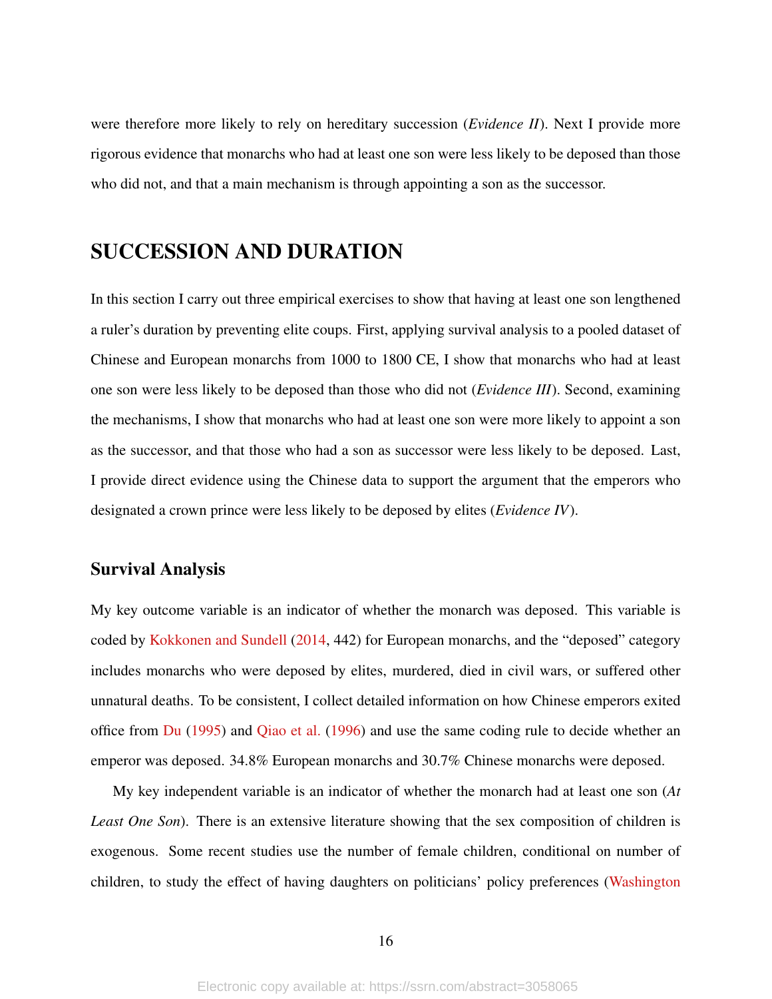were therefore more likely to rely on hereditary succession (*Evidence II*). Next I provide more rigorous evidence that monarchs who had at least one son were less likely to be deposed than those who did not, and that a main mechanism is through appointing a son as the successor.

### SUCCESSION AND DURATION

In this section I carry out three empirical exercises to show that having at least one son lengthened a ruler's duration by preventing elite coups. First, applying survival analysis to a pooled dataset of Chinese and European monarchs from 1000 to 1800 CE, I show that monarchs who had at least one son were less likely to be deposed than those who did not (*Evidence III*). Second, examining the mechanisms, I show that monarchs who had at least one son were more likely to appoint a son as the successor, and that those who had a son as successor were less likely to be deposed. Last, I provide direct evidence using the Chinese data to support the argument that the emperors who designated a crown prince were less likely to be deposed by elites (*Evidence IV*).

#### Survival Analysis

My key outcome variable is an indicator of whether the monarch was deposed. This variable is coded by [Kokkonen and Sundell](#page-30-0) [\(2014,](#page-30-0) 442) for European monarchs, and the "deposed" category includes monarchs who were deposed by elites, murdered, died in civil wars, or suffered other unnatural deaths. To be consistent, I collect detailed information on how Chinese emperors exited office from  $Du$  [\(1995\)](#page-29-7) and [Qiao et al.](#page-31-10) [\(1996\)](#page-31-10) and use the same coding rule to decide whether an emperor was deposed. 34.8% European monarchs and 30.7% Chinese monarchs were deposed.

My key independent variable is an indicator of whether the monarch had at least one son (*At Least One Son*). There is an extensive literature showing that the sex composition of children is exogenous. Some recent studies use the number of female children, conditional on number of children, to study the effect of having daughters on politicians' policy preferences [\(Washington](#page-32-3)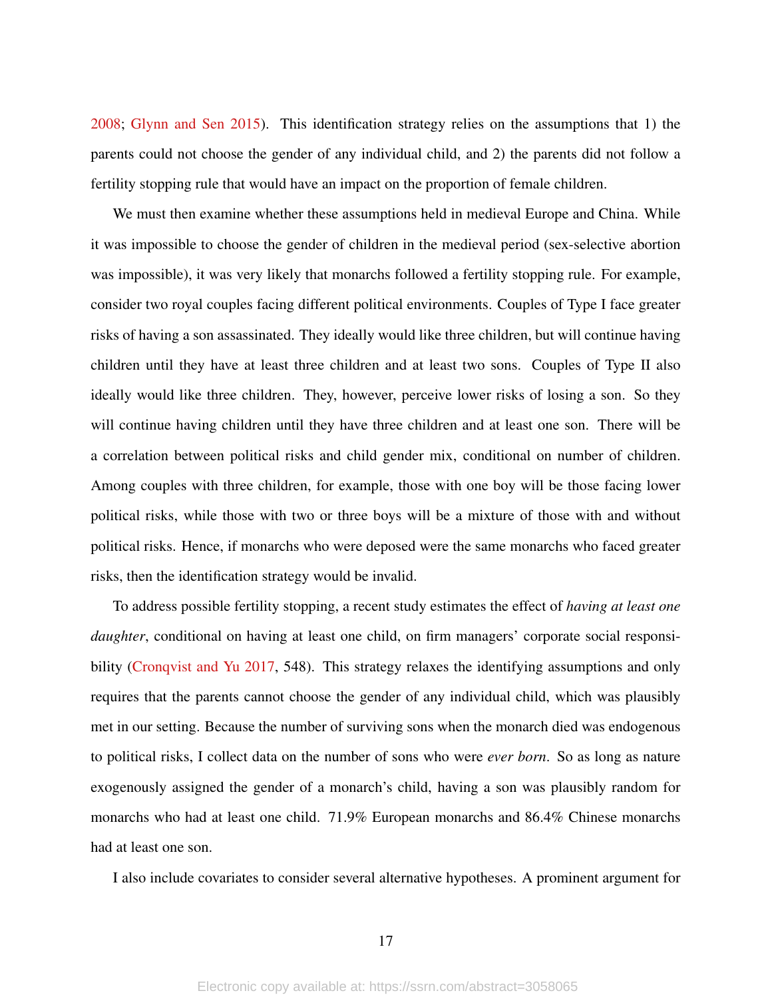[2008;](#page-32-3) [Glynn and Sen](#page-29-13) [2015\)](#page-29-13). This identification strategy relies on the assumptions that 1) the parents could not choose the gender of any individual child, and 2) the parents did not follow a fertility stopping rule that would have an impact on the proportion of female children.

We must then examine whether these assumptions held in medieval Europe and China. While it was impossible to choose the gender of children in the medieval period (sex-selective abortion was impossible), it was very likely that monarchs followed a fertility stopping rule. For example, consider two royal couples facing different political environments. Couples of Type I face greater risks of having a son assassinated. They ideally would like three children, but will continue having children until they have at least three children and at least two sons. Couples of Type II also ideally would like three children. They, however, perceive lower risks of losing a son. So they will continue having children until they have three children and at least one son. There will be a correlation between political risks and child gender mix, conditional on number of children. Among couples with three children, for example, those with one boy will be those facing lower political risks, while those with two or three boys will be a mixture of those with and without political risks. Hence, if monarchs who were deposed were the same monarchs who faced greater risks, then the identification strategy would be invalid.

To address possible fertility stopping, a recent study estimates the effect of *having at least one daughter*, conditional on having at least one child, on firm managers' corporate social responsibility [\(Cronqvist and Yu](#page-28-11) [2017,](#page-28-11) 548). This strategy relaxes the identifying assumptions and only requires that the parents cannot choose the gender of any individual child, which was plausibly met in our setting. Because the number of surviving sons when the monarch died was endogenous to political risks, I collect data on the number of sons who were *ever born*. So as long as nature exogenously assigned the gender of a monarch's child, having a son was plausibly random for monarchs who had at least one child. 71.9% European monarchs and 86.4% Chinese monarchs had at least one son.

I also include covariates to consider several alternative hypotheses. A prominent argument for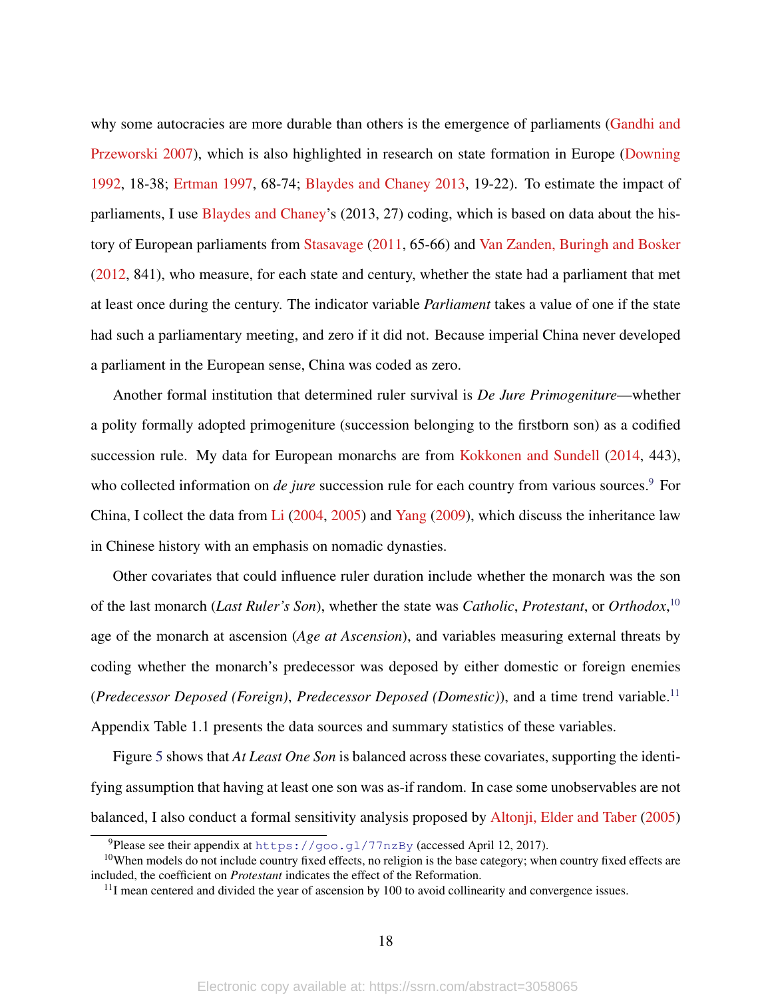why some autocracies are more durable than others is the emergence of parliaments [\(Gandhi and](#page-29-8) [Przeworski](#page-29-8) [2007\)](#page-29-8), which is also highlighted in research on state formation in Europe [\(Downing](#page-29-1) [1992,](#page-29-1) 18-38; [Ertman](#page-29-0) [1997,](#page-29-0) 68-74; [Blaydes and Chaney](#page-28-0) [2013,](#page-28-0) 19-22). To estimate the impact of parliaments, I use [Blaydes and Chaney'](#page-28-0)s (2013, 27) coding, which is based on data about the history of European parliaments from [Stasavage](#page-31-5) [\(2011,](#page-31-5) 65-66) and [Van Zanden, Buringh and Bosker](#page-32-4) [\(2012,](#page-32-4) 841), who measure, for each state and century, whether the state had a parliament that met at least once during the century. The indicator variable *Parliament* takes a value of one if the state had such a parliamentary meeting, and zero if it did not. Because imperial China never developed a parliament in the European sense, China was coded as zero.

Another formal institution that determined ruler survival is *De Jure Primogeniture*—whether a polity formally adopted primogeniture (succession belonging to the firstborn son) as a codified succession rule. My data for European monarchs are from [Kokkonen and Sundell](#page-30-0) [\(2014,](#page-30-0) 443), who collected information on *de jure* succession rule for each country from various sources.<sup>[9](#page-0-0)</sup> For China, I collect the data from [Li](#page-30-9) [\(2004,](#page-30-9) [2005\)](#page-30-10) and [Yang](#page-32-5) [\(2009\)](#page-32-5), which discuss the inheritance law in Chinese history with an emphasis on nomadic dynasties.

Other covariates that could influence ruler duration include whether the monarch was the son of the last monarch (*Last Ruler's Son*), whether the state was *Catholic*, *Protestant*, or *Orthodox*, [10](#page-0-0) age of the monarch at ascension (*Age at Ascension*), and variables measuring external threats by coding whether the monarch's predecessor was deposed by either domestic or foreign enemies (*Predecessor Deposed (Foreign)*, *Predecessor Deposed (Domestic)*), and a time trend variable.[11](#page-0-0) Appendix Table 1.1 presents the data sources and summary statistics of these variables.

Figure [5](#page-18-0) shows that *At Least One Son* is balanced across these covariates, supporting the identifying assumption that having at least one son was as-if random. In case some unobservables are not balanced, I also conduct a formal sensitivity analysis proposed by [Altonji, Elder and Taber](#page-28-12) [\(2005\)](#page-28-12)

<sup>&</sup>lt;sup>9</sup>Please see their appendix at <https://goo.gl/77nzBy> (accessed April 12, 2017).

<sup>&</sup>lt;sup>10</sup>When models do not include country fixed effects, no religion is the base category; when country fixed effects are included, the coefficient on *Protestant* indicates the effect of the Reformation.

 $11$ I mean centered and divided the year of ascension by 100 to avoid collinearity and convergence issues.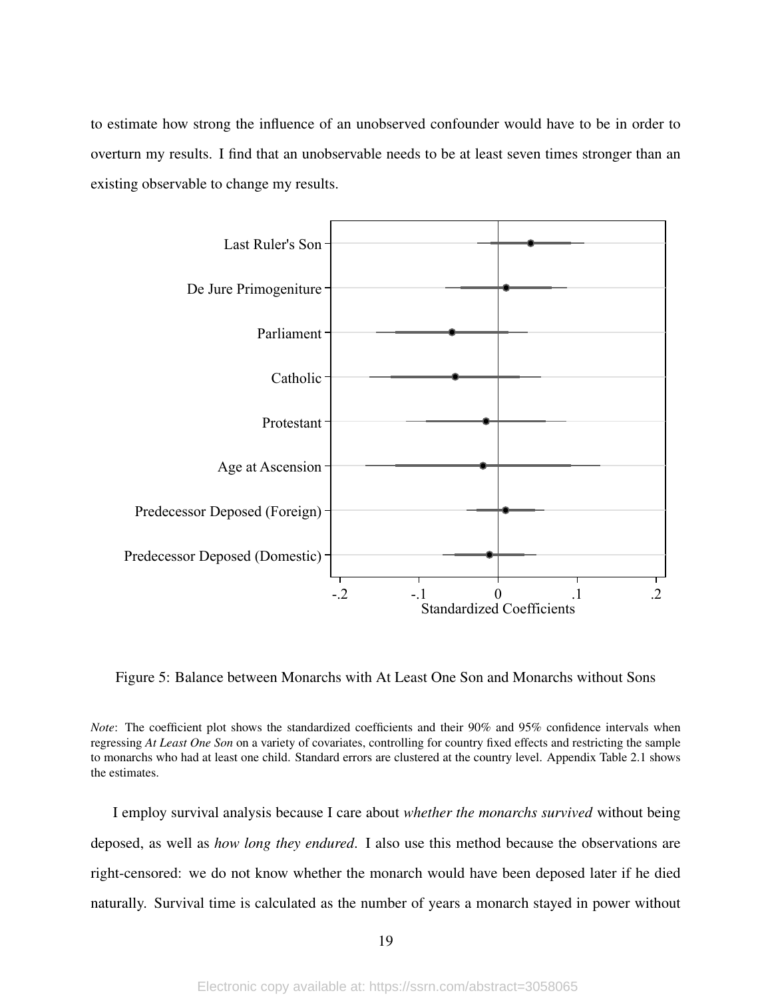to estimate how strong the influence of an unobserved confounder would have to be in order to overturn my results. I find that an unobservable needs to be at least seven times stronger than an existing observable to change my results.



<span id="page-18-0"></span>Figure 5: Balance between Monarchs with At Least One Son and Monarchs without Sons

*Note*: The coefficient plot shows the standardized coefficients and their 90% and 95% confidence intervals when regressing *At Least One Son* on a variety of covariates, controlling for country fixed effects and restricting the sample to monarchs who had at least one child. Standard errors are clustered at the country level. Appendix Table 2.1 shows the estimates.

I employ survival analysis because I care about *whether the monarchs survived* without being deposed, as well as *how long they endured*. I also use this method because the observations are right-censored: we do not know whether the monarch would have been deposed later if he died naturally. Survival time is calculated as the number of years a monarch stayed in power without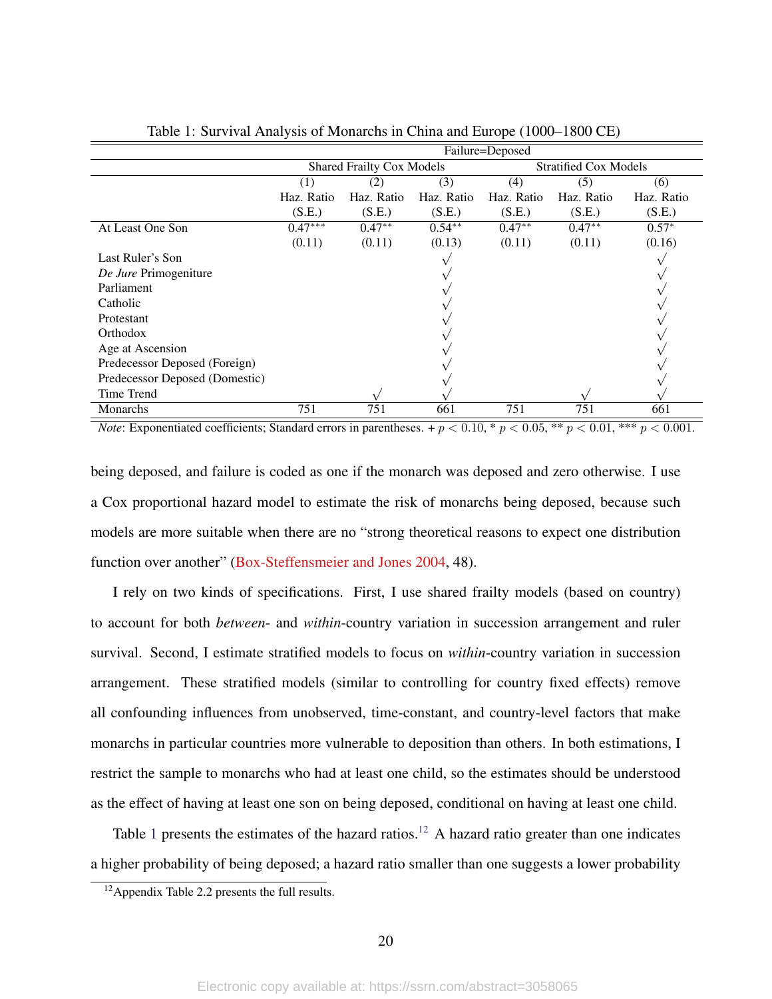|                                | Failure=Deposed                  |            |            |                              |            |            |
|--------------------------------|----------------------------------|------------|------------|------------------------------|------------|------------|
|                                | <b>Shared Frailty Cox Models</b> |            |            | <b>Stratified Cox Models</b> |            |            |
|                                | (3)<br>(1<br>(2)                 |            |            | (4)                          | (5)        | (6)        |
|                                | Haz. Ratio                       | Haz. Ratio | Haz. Ratio | Haz. Ratio                   | Haz. Ratio | Haz. Ratio |
|                                | (S.E.)                           | (S.E.)     | (S.E.)     | (S.E.)                       | (S.E.)     | (S.E.)     |
| At Least One Son               | $0.47***$                        | $0.47**$   | $0.54**$   | $0.47**$                     | $0.47**$   | $0.57*$    |
|                                | (0.11)                           | (0.11)     | (0.13)     | (0.11)                       | (0.11)     | (0.16)     |
| Last Ruler's Son               |                                  |            |            |                              |            |            |
| De Jure Primogeniture          |                                  |            |            |                              |            |            |
| Parliament                     |                                  |            |            |                              |            |            |
| Catholic                       |                                  |            |            |                              |            |            |
| <b>Protestant</b>              |                                  |            |            |                              |            |            |
| Orthodox                       |                                  |            |            |                              |            |            |
| Age at Ascension               |                                  |            |            |                              |            |            |
| Predecessor Deposed (Foreign)  |                                  |            |            |                              |            |            |
| Predecessor Deposed (Domestic) |                                  |            |            |                              |            |            |
| Time Trend                     |                                  |            |            |                              |            |            |
| Monarchs                       | 751                              | 751        | 661        | 751                          | 751        | 661        |

<span id="page-19-0"></span>Table 1: Survival Analysis of Monarchs in China and Europe (1000–1800 CE)

*Note*: Exponentiated coefficients; Standard errors in parentheses. +  $p < 0.10$ , \*  $p < 0.05$ , \*\*  $p < 0.01$ , \*\*\*  $p < 0.001$ .

being deposed, and failure is coded as one if the monarch was deposed and zero otherwise. I use a Cox proportional hazard model to estimate the risk of monarchs being deposed, because such models are more suitable when there are no "strong theoretical reasons to expect one distribution function over another" [\(Box-Steffensmeier and Jones](#page-28-13) [2004,](#page-28-13) 48).

I rely on two kinds of specifications. First, I use shared frailty models (based on country) to account for both *between*- and *within*-country variation in succession arrangement and ruler survival. Second, I estimate stratified models to focus on *within*-country variation in succession arrangement. These stratified models (similar to controlling for country fixed effects) remove all confounding influences from unobserved, time-constant, and country-level factors that make monarchs in particular countries more vulnerable to deposition than others. In both estimations, I restrict the sample to monarchs who had at least one child, so the estimates should be understood as the effect of having at least one son on being deposed, conditional on having at least one child.

Table [1](#page-19-0) presents the estimates of the hazard ratios.<sup>[12](#page-0-0)</sup> A hazard ratio greater than one indicates a higher probability of being deposed; a hazard ratio smaller than one suggests a lower probability

<sup>12</sup>Appendix Table 2.2 presents the full results.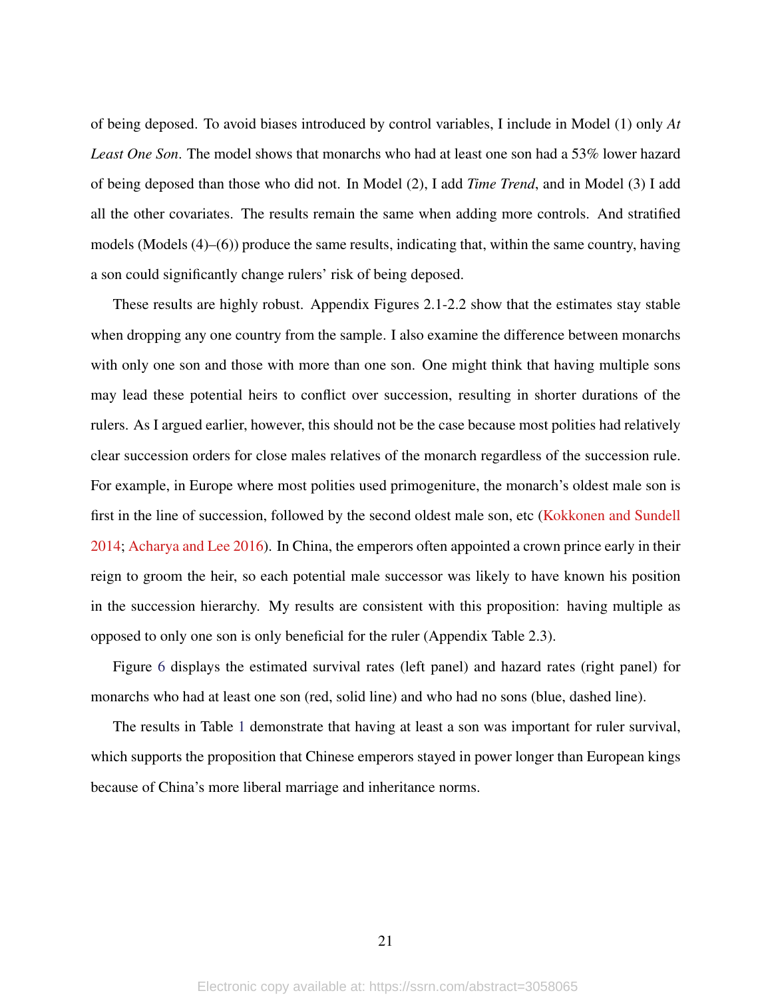of being deposed. To avoid biases introduced by control variables, I include in Model (1) only *At Least One Son*. The model shows that monarchs who had at least one son had a 53% lower hazard of being deposed than those who did not. In Model (2), I add *Time Trend*, and in Model (3) I add all the other covariates. The results remain the same when adding more controls. And stratified models (Models (4)–(6)) produce the same results, indicating that, within the same country, having a son could significantly change rulers' risk of being deposed.

These results are highly robust. Appendix Figures 2.1-2.2 show that the estimates stay stable when dropping any one country from the sample. I also examine the difference between monarchs with only one son and those with more than one son. One might think that having multiple sons may lead these potential heirs to conflict over succession, resulting in shorter durations of the rulers. As I argued earlier, however, this should not be the case because most polities had relatively clear succession orders for close males relatives of the monarch regardless of the succession rule. For example, in Europe where most polities used primogeniture, the monarch's oldest male son is first in the line of succession, followed by the second oldest male son, etc [\(Kokkonen and Sundell](#page-30-0) [2014;](#page-30-0) [Acharya and Lee](#page-28-1) [2016\)](#page-28-1). In China, the emperors often appointed a crown prince early in their reign to groom the heir, so each potential male successor was likely to have known his position in the succession hierarchy. My results are consistent with this proposition: having multiple as opposed to only one son is only beneficial for the ruler (Appendix Table 2.3).

Figure [6](#page-21-0) displays the estimated survival rates (left panel) and hazard rates (right panel) for monarchs who had at least one son (red, solid line) and who had no sons (blue, dashed line).

The results in Table [1](#page-19-0) demonstrate that having at least a son was important for ruler survival, which supports the proposition that Chinese emperors stayed in power longer than European kings because of China's more liberal marriage and inheritance norms.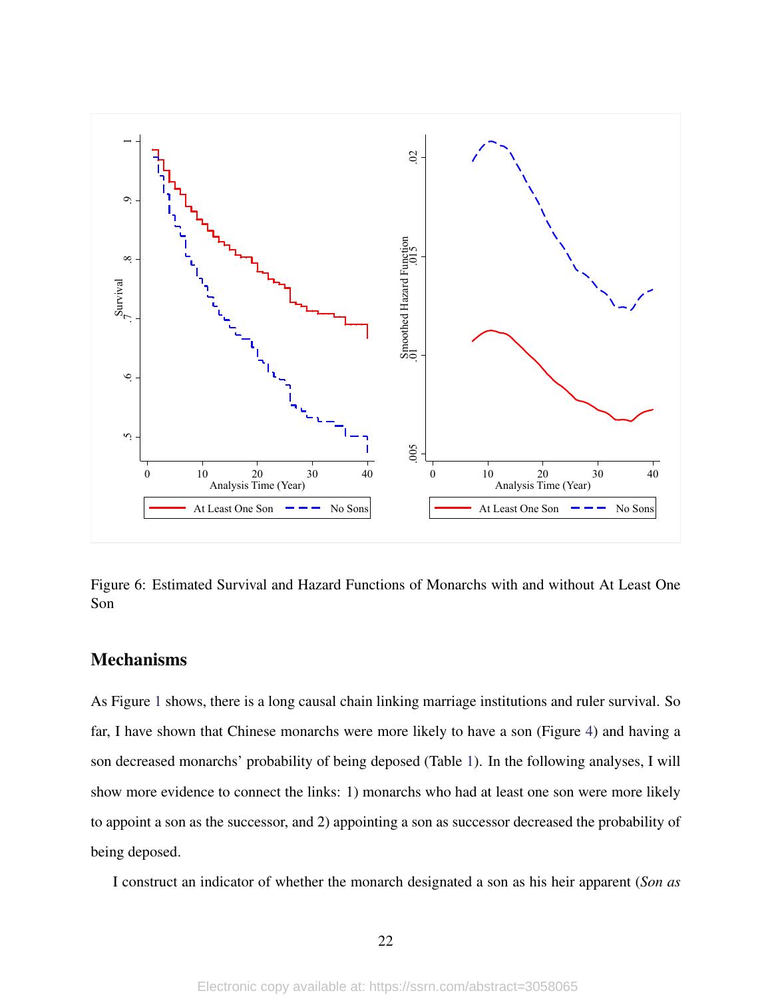

<span id="page-21-0"></span>Figure 6: Estimated Survival and Hazard Functions of Monarchs with and without At Least One Son

#### Mechanisms

As Figure [1](#page-5-0) shows, there is a long causal chain linking marriage institutions and ruler survival. So far, I have shown that Chinese monarchs were more likely to have a son (Figure [4\)](#page-13-0) and having a son decreased monarchs' probability of being deposed (Table [1\)](#page-19-0). In the following analyses, I will show more evidence to connect the links: 1) monarchs who had at least one son were more likely to appoint a son as the successor, and 2) appointing a son as successor decreased the probability of being deposed.

I construct an indicator of whether the monarch designated a son as his heir apparent (*Son as*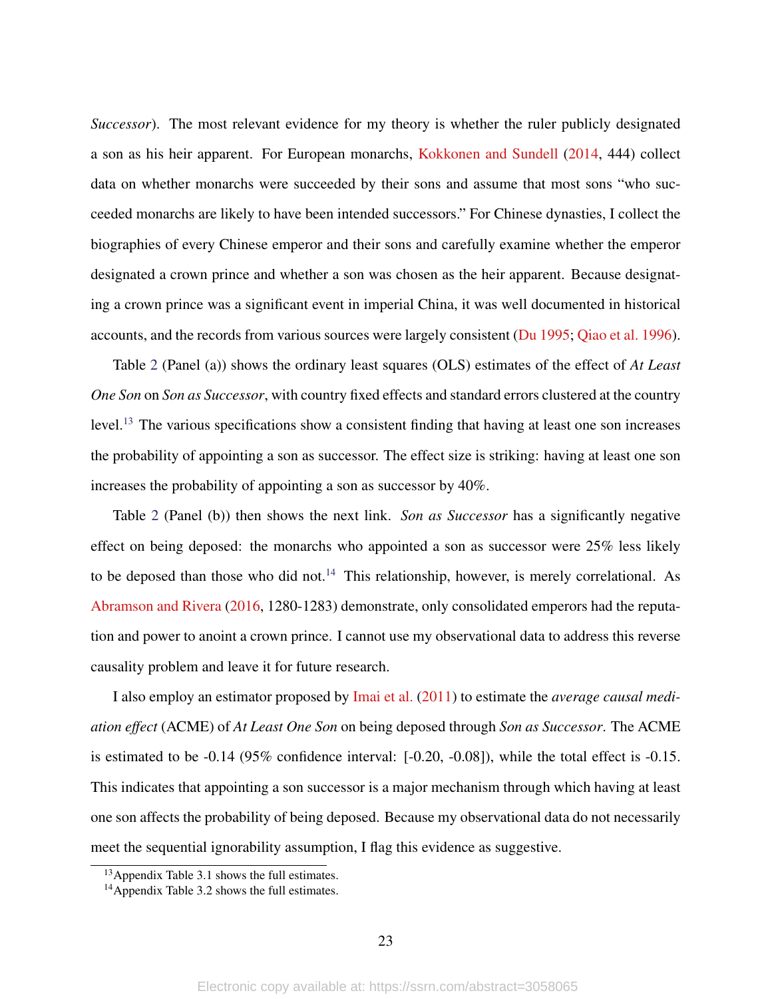*Successor*). The most relevant evidence for my theory is whether the ruler publicly designated a son as his heir apparent. For European monarchs, [Kokkonen and Sundell](#page-30-0) [\(2014,](#page-30-0) 444) collect data on whether monarchs were succeeded by their sons and assume that most sons "who succeeded monarchs are likely to have been intended successors." For Chinese dynasties, I collect the biographies of every Chinese emperor and their sons and carefully examine whether the emperor designated a crown prince and whether a son was chosen as the heir apparent. Because designating a crown prince was a significant event in imperial China, it was well documented in historical accounts, and the records from various sources were largely consistent [\(Du](#page-29-7) [1995;](#page-29-7) [Qiao et al.](#page-31-10) [1996\)](#page-31-10).

Table [2](#page-23-0) (Panel (a)) shows the ordinary least squares (OLS) estimates of the effect of *At Least One Son* on *Son as Successor*, with country fixed effects and standard errors clustered at the country level.[13](#page-0-0) The various specifications show a consistent finding that having at least one son increases the probability of appointing a son as successor. The effect size is striking: having at least one son increases the probability of appointing a son as successor by 40%.

Table [2](#page-23-0) (Panel (b)) then shows the next link. *Son as Successor* has a significantly negative effect on being deposed: the monarchs who appointed a son as successor were 25% less likely to be deposed than those who did not.<sup>[14](#page-0-0)</sup> This relationship, however, is merely correlational. As [Abramson and Rivera](#page-28-6) [\(2016,](#page-28-6) 1280-1283) demonstrate, only consolidated emperors had the reputation and power to anoint a crown prince. I cannot use my observational data to address this reverse causality problem and leave it for future research.

I also employ an estimator proposed by [Imai et al.](#page-30-11) [\(2011\)](#page-30-11) to estimate the *average causal mediation effect* (ACME) of *At Least One Son* on being deposed through *Son as Successor*. The ACME is estimated to be -0.14 (95% confidence interval: [-0.20, -0.08]), while the total effect is -0.15. This indicates that appointing a son successor is a major mechanism through which having at least one son affects the probability of being deposed. Because my observational data do not necessarily meet the sequential ignorability assumption, I flag this evidence as suggestive.

<sup>13</sup>Appendix Table 3.1 shows the full estimates.

<sup>&</sup>lt;sup>14</sup>Appendix Table 3.2 shows the full estimates.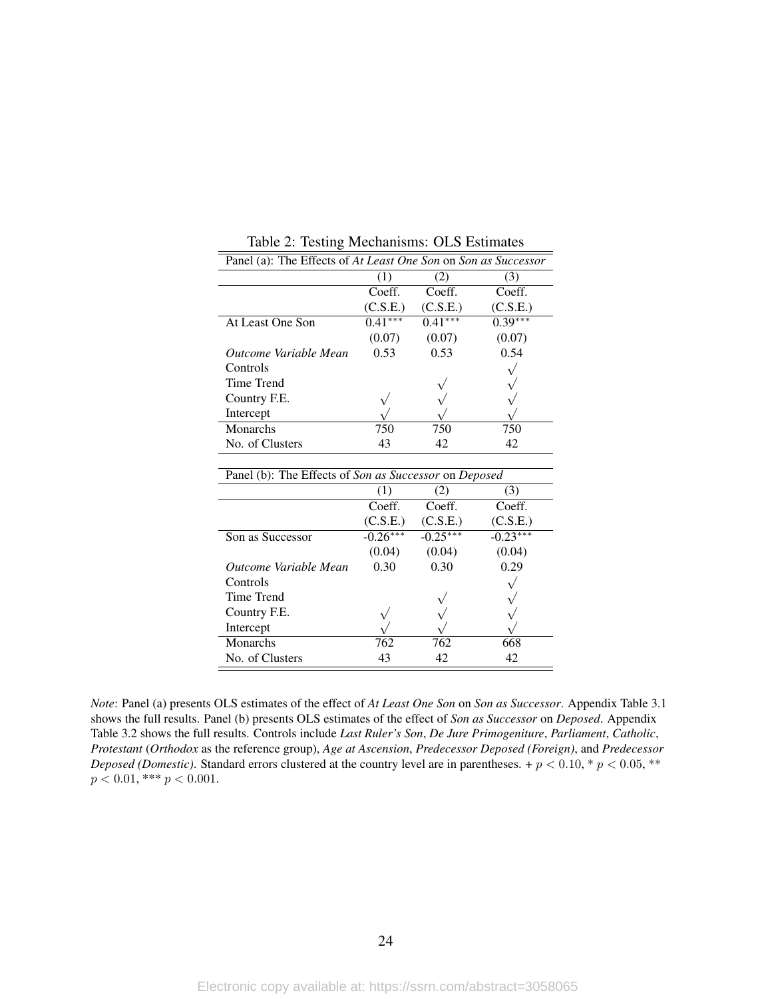| Panel (a): The Effects of At Least One Son on Son as Successor |           |           |           |  |  |
|----------------------------------------------------------------|-----------|-----------|-----------|--|--|
|                                                                | (1)       | (2)       | (3)       |  |  |
|                                                                | Coeff.    | Coeff.    | Coeff.    |  |  |
|                                                                | (C.S.E.)  | (C.S.E.)  | (C.S.E.)  |  |  |
| At Least One Son                                               | $0.41***$ | $0.41***$ | $0.39***$ |  |  |
|                                                                | (0.07)    | (0.07)    | (0.07)    |  |  |
| Outcome Variable Mean                                          | 0.53      | 0.53      | 0.54      |  |  |
| Controls                                                       |           |           |           |  |  |
| Time Trend                                                     |           |           |           |  |  |
| Country F.E.                                                   |           |           |           |  |  |
| Intercept                                                      |           |           |           |  |  |
| Monarchs                                                       | 750       | 750       | 750       |  |  |
| No. of Clusters                                                | 43        | 42        | 42        |  |  |

<span id="page-23-0"></span>Table 2: Testing Mechanisms: OLS Estimates

| Panel (b): The Effects of Son as Successor on Deposed |            |            |            |  |  |
|-------------------------------------------------------|------------|------------|------------|--|--|
|                                                       | (1)        | (2)        | (3)        |  |  |
|                                                       | Coeff.     | Coeff.     | Coeff.     |  |  |
|                                                       | (C.S.E.)   | (C.S.E.)   | (C.S.E.)   |  |  |
| Son as Successor                                      | $-0.26***$ | $-0.25***$ | $-0.23***$ |  |  |
|                                                       | (0.04)     | (0.04)     | (0.04)     |  |  |
| Outcome Variable Mean                                 | 0.30       | 0.30       | 0.29       |  |  |
| Controls                                              |            |            |            |  |  |
| Time Trend                                            |            |            |            |  |  |
| Country F.E.                                          |            |            |            |  |  |
| Intercept                                             |            |            |            |  |  |
| Monarchs                                              | 762        | 762        | 668        |  |  |
| No. of Clusters                                       | 43         | 42         | 42         |  |  |

*Note*: Panel (a) presents OLS estimates of the effect of *At Least One Son* on *Son as Successor*. Appendix Table 3.1 shows the full results. Panel (b) presents OLS estimates of the effect of *Son as Successor* on *Deposed*. Appendix Table 3.2 shows the full results. Controls include *Last Ruler's Son*, *De Jure Primogeniture*, *Parliament*, *Catholic*, *Protestant* (*Orthodox* as the reference group), *Age at Ascension*, *Predecessor Deposed (Foreign)*, and *Predecessor Deposed (Domestic)*. Standard errors clustered at the country level are in parentheses. +  $p < 0.10$ , \*  $p < 0.05$ , \*\*  $p < 0.01$ , \*\*\*  $p < 0.001$ .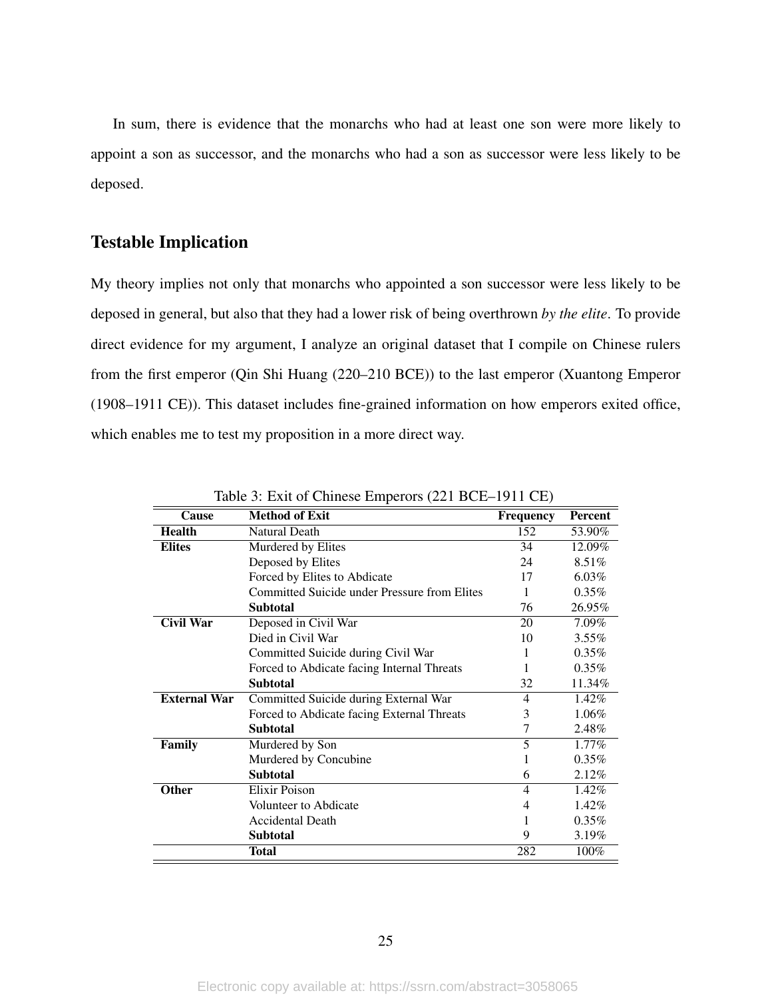In sum, there is evidence that the monarchs who had at least one son were more likely to appoint a son as successor, and the monarchs who had a son as successor were less likely to be deposed.

#### Testable Implication

My theory implies not only that monarchs who appointed a son successor were less likely to be deposed in general, but also that they had a lower risk of being overthrown *by the elite*. To provide direct evidence for my argument, I analyze an original dataset that I compile on Chinese rulers from the first emperor (Qin Shi Huang (220–210 BCE)) to the last emperor (Xuantong Emperor (1908–1911 CE)). This dataset includes fine-grained information on how emperors exited office, which enables me to test my proposition in a more direct way.

| Cause               | T.<br><b>Method of Exit</b>                  | <b>Frequency</b> | Percent  |
|---------------------|----------------------------------------------|------------------|----------|
| <b>Health</b>       | <b>Natural Death</b>                         | 152              | 53.90%   |
| <b>Elites</b>       | Murdered by Elites                           | 34               | 12.09%   |
|                     | Deposed by Elites                            | 24               | 8.51%    |
|                     | Forced by Elites to Abdicate                 | 17               | $6.03\%$ |
|                     | Committed Suicide under Pressure from Elites | 1                | $0.35\%$ |
|                     | <b>Subtotal</b>                              | 76               | 26.95%   |
| Civil War           | Deposed in Civil War                         | 20               | 7.09%    |
|                     | Died in Civil War                            | 10               | $3.55\%$ |
|                     | Committed Suicide during Civil War           | 1                | $0.35\%$ |
|                     | Forced to Abdicate facing Internal Threats   | 1                | $0.35\%$ |
|                     | <b>Subtotal</b>                              | 32               | 11.34%   |
| <b>External War</b> | Committed Suicide during External War        | 4                | 1.42%    |
|                     | Forced to Abdicate facing External Threats   | 3                | 1.06%    |
|                     | <b>Subtotal</b>                              | 7                | 2.48%    |
| Family              | Murdered by Son                              | 5                | 1.77%    |
|                     | Murdered by Concubine                        |                  | $0.35\%$ |
|                     | <b>Subtotal</b>                              | 6                | 2.12%    |
| <b>Other</b>        | Elixir Poison                                | $\overline{4}$   | 1.42%    |
|                     | Volunteer to Abdicate                        | 4                | 1.42%    |
|                     | <b>Accidental Death</b>                      |                  | $0.35\%$ |
|                     | <b>Subtotal</b>                              | 9                | 3.19%    |
|                     | Total                                        | 282              | 100%     |

<span id="page-24-0"></span>Table 3: Exit of Chinese Emperors (221 BCE–1911 CE)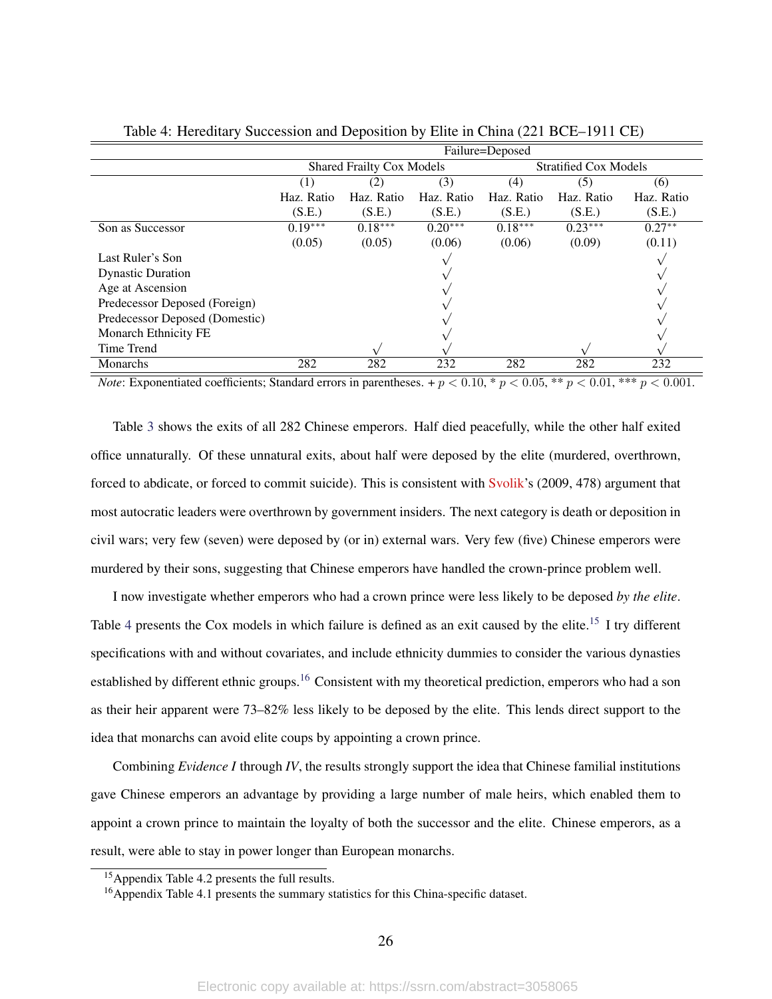|                                | Failure=Deposed                  |            |            |                              |            |            |
|--------------------------------|----------------------------------|------------|------------|------------------------------|------------|------------|
|                                | <b>Shared Frailty Cox Models</b> |            |            | <b>Stratified Cox Models</b> |            |            |
|                                | (3)<br>(2)                       |            | (4)        | (5)                          | (6)        |            |
|                                | Haz. Ratio                       | Haz. Ratio | Haz. Ratio | Haz. Ratio                   | Haz. Ratio | Haz. Ratio |
|                                | (S.E.)                           | (S.E.)     | (S.E.)     | (S.E.)                       | (S.E.)     | (S.E.)     |
| Son as Successor               | $0.19***$                        | $0.18***$  | $0.20***$  | $0.18***$                    | $0.23***$  | $0.27**$   |
|                                | (0.05)                           | (0.05)     | (0.06)     | (0.06)                       | (0.09)     | (0.11)     |
| Last Ruler's Son               |                                  |            |            |                              |            |            |
| <b>Dynastic Duration</b>       |                                  |            |            |                              |            |            |
| Age at Ascension               |                                  |            |            |                              |            |            |
| Predecessor Deposed (Foreign)  |                                  |            |            |                              |            |            |
| Predecessor Deposed (Domestic) |                                  |            |            |                              |            |            |
| <b>Monarch Ethnicity FE</b>    |                                  |            |            |                              |            |            |
| Time Trend                     |                                  |            |            |                              |            |            |
| Monarchs                       | 282                              | 282        | 232        | 282                          | 282        | 232        |

<span id="page-25-0"></span>Table 4: Hereditary Succession and Deposition by Elite in China (221 BCE–1911 CE)

*Note*: Exponentiated coefficients; Standard errors in parentheses. +  $p < 0.10$ , \*  $p < 0.05$ , \*\*  $p < 0.01$ , \*\*\*  $p < 0.001$ .

Table [3](#page-24-0) shows the exits of all 282 Chinese emperors. Half died peacefully, while the other half exited office unnaturally. Of these unnatural exits, about half were deposed by the elite (murdered, overthrown, forced to abdicate, or forced to commit suicide). This is consistent with [Svolik'](#page-31-11)s (2009, 478) argument that most autocratic leaders were overthrown by government insiders. The next category is death or deposition in civil wars; very few (seven) were deposed by (or in) external wars. Very few (five) Chinese emperors were murdered by their sons, suggesting that Chinese emperors have handled the crown-prince problem well.

I now investigate whether emperors who had a crown prince were less likely to be deposed *by the elite*. Table [4](#page-25-0) presents the Cox models in which failure is defined as an exit caused by the elite.<sup>[15](#page-0-0)</sup> I try different specifications with and without covariates, and include ethnicity dummies to consider the various dynasties established by different ethnic groups.<sup>[16](#page-0-0)</sup> Consistent with my theoretical prediction, emperors who had a son as their heir apparent were 73–82% less likely to be deposed by the elite. This lends direct support to the idea that monarchs can avoid elite coups by appointing a crown prince.

Combining *Evidence I* through *IV*, the results strongly support the idea that Chinese familial institutions gave Chinese emperors an advantage by providing a large number of male heirs, which enabled them to appoint a crown prince to maintain the loyalty of both the successor and the elite. Chinese emperors, as a result, were able to stay in power longer than European monarchs.

<sup>15</sup>Appendix Table 4.2 presents the full results.

<sup>16</sup>Appendix Table 4.1 presents the summary statistics for this China-specific dataset.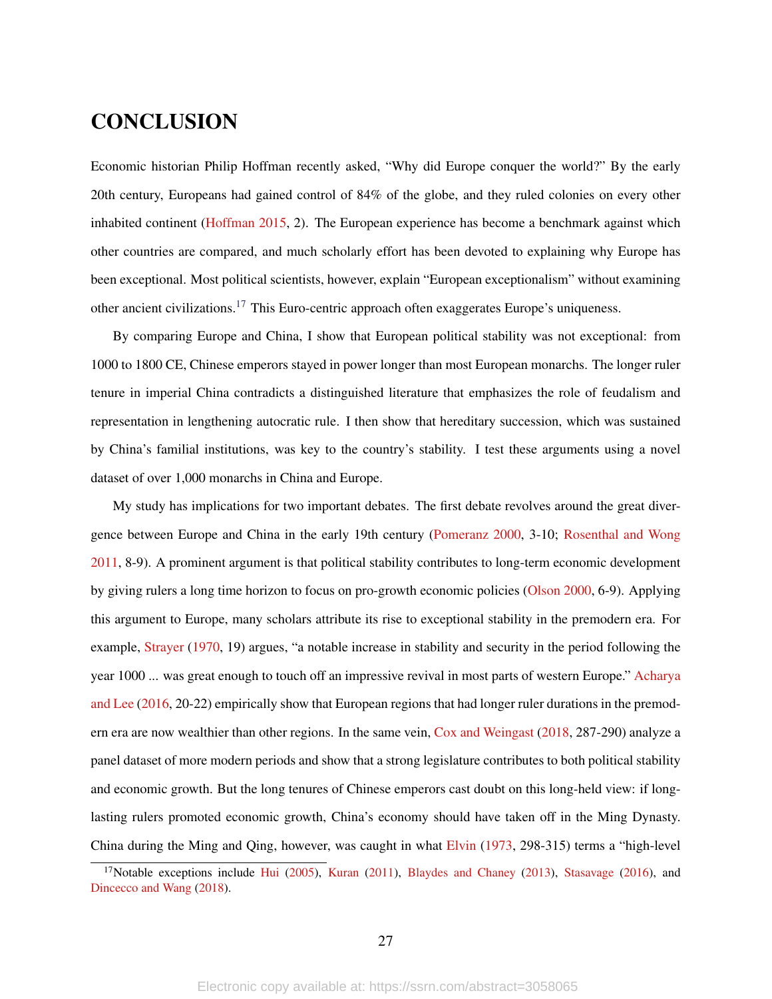### **CONCLUSION**

Economic historian Philip Hoffman recently asked, "Why did Europe conquer the world?" By the early 20th century, Europeans had gained control of 84% of the globe, and they ruled colonies on every other inhabited continent [\(Hoffman](#page-29-11) [2015,](#page-29-11) 2). The European experience has become a benchmark against which other countries are compared, and much scholarly effort has been devoted to explaining why Europe has been exceptional. Most political scientists, however, explain "European exceptionalism" without examining other ancient civilizations.<sup>[17](#page-0-0)</sup> This Euro-centric approach often exaggerates Europe's uniqueness.

By comparing Europe and China, I show that European political stability was not exceptional: from 1000 to 1800 CE, Chinese emperors stayed in power longer than most European monarchs. The longer ruler tenure in imperial China contradicts a distinguished literature that emphasizes the role of feudalism and representation in lengthening autocratic rule. I then show that hereditary succession, which was sustained by China's familial institutions, was key to the country's stability. I test these arguments using a novel dataset of over 1,000 monarchs in China and Europe.

My study has implications for two important debates. The first debate revolves around the great divergence between Europe and China in the early 19th century [\(Pomeranz](#page-31-6) [2000,](#page-31-6) 3-10; [Rosenthal and Wong](#page-31-17) [2011,](#page-31-17) 8-9). A prominent argument is that political stability contributes to long-term economic development by giving rulers a long time horizon to focus on pro-growth economic policies [\(Olson](#page-31-1) [2000,](#page-31-1) 6-9). Applying this argument to Europe, many scholars attribute its rise to exceptional stability in the premodern era. For example, [Strayer](#page-31-0) [\(1970,](#page-31-0) 19) argues, "a notable increase in stability and security in the period following the year 1000 ... was great enough to touch off an impressive revival in most parts of western Europe." [Acharya](#page-28-1) [and Lee](#page-28-1) [\(2016,](#page-28-1) 20-22) empirically show that European regions that had longer ruler durations in the premodern era are now wealthier than other regions. In the same vein, [Cox and Weingast](#page-28-2) [\(2018,](#page-28-2) 287-290) analyze a panel dataset of more modern periods and show that a strong legislature contributes to both political stability and economic growth. But the long tenures of Chinese emperors cast doubt on this long-held view: if longlasting rulers promoted economic growth, China's economy should have taken off in the Ming Dynasty. China during the Ming and Qing, however, was caught in what [Elvin](#page-29-14) [\(1973,](#page-29-14) 298-315) terms a "high-level

<sup>&</sup>lt;sup>17</sup>Notable exceptions include [Hui](#page-30-2) [\(2005\)](#page-30-2), [Kuran](#page-30-12) [\(2011\)](#page-30-12), [Blaydes and Chaney](#page-28-0) [\(2013\)](#page-28-0), [Stasavage](#page-31-2) [\(2016\)](#page-31-2), and [Dincecco and Wang](#page-29-3) [\(2018\)](#page-29-3).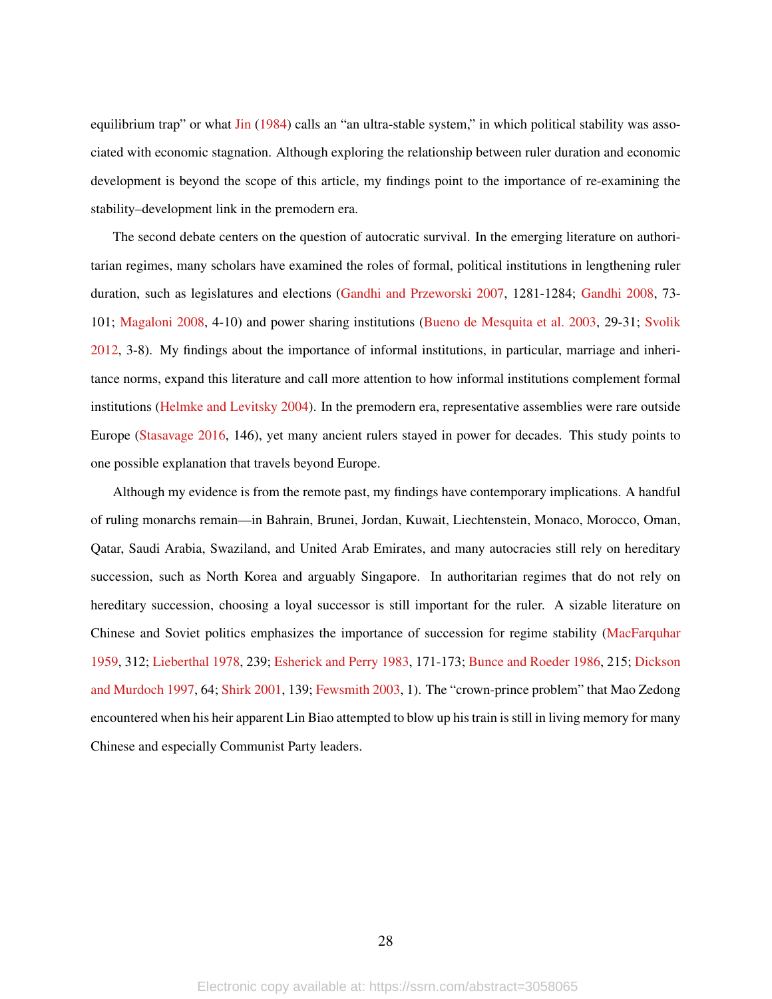equilibrium trap" or what [Jin](#page-30-13) [\(1984\)](#page-30-13) calls an "an ultra-stable system," in which political stability was associated with economic stagnation. Although exploring the relationship between ruler duration and economic development is beyond the scope of this article, my findings point to the importance of re-examining the stability–development link in the premodern era.

The second debate centers on the question of autocratic survival. In the emerging literature on authoritarian regimes, many scholars have examined the roles of formal, political institutions in lengthening ruler duration, such as legislatures and elections [\(Gandhi and Przeworski](#page-29-8) [2007,](#page-29-8) 1281-1284; [Gandhi](#page-29-15) [2008,](#page-29-15) 73- 101; [Magaloni](#page-30-6) [2008,](#page-30-6) 4-10) and power sharing institutions [\(Bueno de Mesquita et al.](#page-28-14) [2003,](#page-28-14) 29-31; [Svolik](#page-31-18) [2012,](#page-31-18) 3-8). My findings about the importance of informal institutions, in particular, marriage and inheritance norms, expand this literature and call more attention to how informal institutions complement formal institutions [\(Helmke and Levitsky](#page-29-6) [2004\)](#page-29-6). In the premodern era, representative assemblies were rare outside Europe [\(Stasavage](#page-31-2) [2016,](#page-31-2) 146), yet many ancient rulers stayed in power for decades. This study points to one possible explanation that travels beyond Europe.

Although my evidence is from the remote past, my findings have contemporary implications. A handful of ruling monarchs remain—in Bahrain, Brunei, Jordan, Kuwait, Liechtenstein, Monaco, Morocco, Oman, Qatar, Saudi Arabia, Swaziland, and United Arab Emirates, and many autocracies still rely on hereditary succession, such as North Korea and arguably Singapore. In authoritarian regimes that do not rely on hereditary succession, choosing a loyal successor is still important for the ruler. A sizable literature on Chinese and Soviet politics emphasizes the importance of succession for regime stability [\(MacFarquhar](#page-30-14) [1959,](#page-30-14) 312; [Lieberthal](#page-30-15) [1978,](#page-30-15) 239; [Esherick and Perry](#page-29-16) [1983,](#page-29-16) 171-173; [Bunce and Roeder](#page-28-15) [1986,](#page-28-15) 215; [Dickson](#page-29-17) [and Murdoch](#page-29-17) [1997,](#page-29-17) 64; [Shirk](#page-31-19) [2001,](#page-31-19) 139; [Fewsmith](#page-29-18) [2003,](#page-29-18) 1). The "crown-prince problem" that Mao Zedong encountered when his heir apparent Lin Biao attempted to blow up his train is still in living memory for many Chinese and especially Communist Party leaders.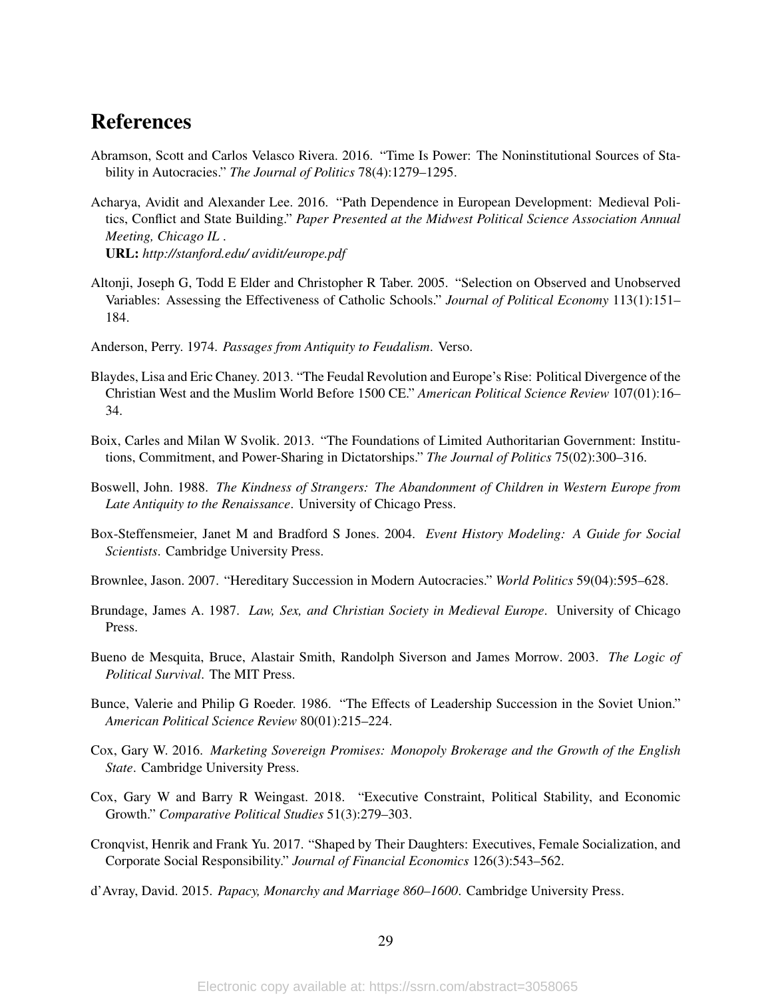### References

- <span id="page-28-6"></span>Abramson, Scott and Carlos Velasco Rivera. 2016. "Time Is Power: The Noninstitutional Sources of Stability in Autocracies." *The Journal of Politics* 78(4):1279–1295.
- <span id="page-28-1"></span>Acharya, Avidit and Alexander Lee. 2016. "Path Dependence in European Development: Medieval Politics, Conflict and State Building." *Paper Presented at the Midwest Political Science Association Annual Meeting, Chicago IL* . URL: *http://stanford.edu/ avidit/europe.pdf*
- <span id="page-28-12"></span>Altonji, Joseph G, Todd E Elder and Christopher R Taber. 2005. "Selection on Observed and Unobserved Variables: Assessing the Effectiveness of Catholic Schools." *Journal of Political Economy* 113(1):151– 184.
- <span id="page-28-3"></span>Anderson, Perry. 1974. *Passages from Antiquity to Feudalism*. Verso.
- <span id="page-28-0"></span>Blaydes, Lisa and Eric Chaney. 2013. "The Feudal Revolution and Europe's Rise: Political Divergence of the Christian West and the Muslim World Before 1500 CE." *American Political Science Review* 107(01):16– 34.
- <span id="page-28-7"></span>Boix, Carles and Milan W Svolik. 2013. "The Foundations of Limited Authoritarian Government: Institutions, Commitment, and Power-Sharing in Dictatorships." *The Journal of Politics* 75(02):300–316.
- <span id="page-28-10"></span>Boswell, John. 1988. *The Kindness of Strangers: The Abandonment of Children in Western Europe from Late Antiquity to the Renaissance*. University of Chicago Press.
- <span id="page-28-13"></span>Box-Steffensmeier, Janet M and Bradford S Jones. 2004. *Event History Modeling: A Guide for Social Scientists*. Cambridge University Press.
- <span id="page-28-5"></span>Brownlee, Jason. 2007. "Hereditary Succession in Modern Autocracies." *World Politics* 59(04):595–628.
- <span id="page-28-8"></span>Brundage, James A. 1987. *Law, Sex, and Christian Society in Medieval Europe*. University of Chicago Press.
- <span id="page-28-14"></span>Bueno de Mesquita, Bruce, Alastair Smith, Randolph Siverson and James Morrow. 2003. *The Logic of Political Survival*. The MIT Press.
- <span id="page-28-15"></span>Bunce, Valerie and Philip G Roeder. 1986. "The Effects of Leadership Succession in the Soviet Union." *American Political Science Review* 80(01):215–224.
- <span id="page-28-4"></span>Cox, Gary W. 2016. *Marketing Sovereign Promises: Monopoly Brokerage and the Growth of the English State*. Cambridge University Press.
- <span id="page-28-2"></span>Cox, Gary W and Barry R Weingast. 2018. "Executive Constraint, Political Stability, and Economic Growth." *Comparative Political Studies* 51(3):279–303.
- <span id="page-28-11"></span>Cronqvist, Henrik and Frank Yu. 2017. "Shaped by Their Daughters: Executives, Female Socialization, and Corporate Social Responsibility." *Journal of Financial Economics* 126(3):543–562.
- <span id="page-28-9"></span>d'Avray, David. 2015. *Papacy, Monarchy and Marriage 860–1600*. Cambridge University Press.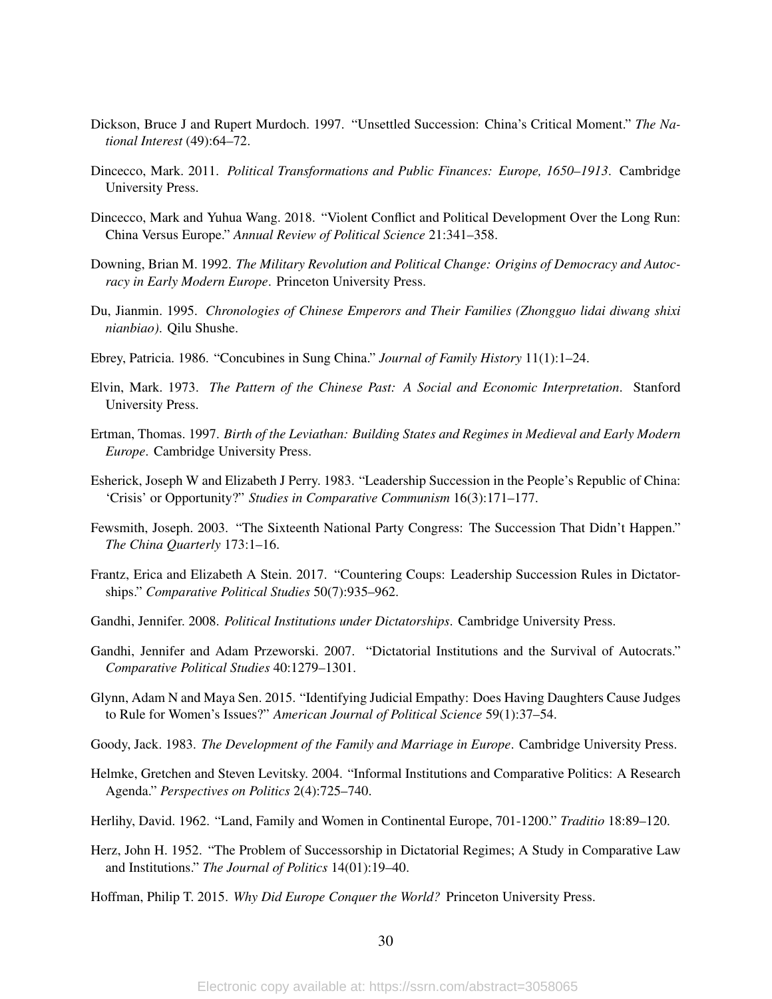- <span id="page-29-17"></span>Dickson, Bruce J and Rupert Murdoch. 1997. "Unsettled Succession: China's Critical Moment." *The National Interest* (49):64–72.
- <span id="page-29-2"></span>Dincecco, Mark. 2011. *Political Transformations and Public Finances: Europe, 1650–1913*. Cambridge University Press.
- <span id="page-29-3"></span>Dincecco, Mark and Yuhua Wang. 2018. "Violent Conflict and Political Development Over the Long Run: China Versus Europe." *Annual Review of Political Science* 21:341–358.
- <span id="page-29-1"></span>Downing, Brian M. 1992. *The Military Revolution and Political Change: Origins of Democracy and Autocracy in Early Modern Europe*. Princeton University Press.
- <span id="page-29-7"></span>Du, Jianmin. 1995. *Chronologies of Chinese Emperors and Their Families (Zhongguo lidai diwang shixi nianbiao)*. Qilu Shushe.
- <span id="page-29-12"></span>Ebrey, Patricia. 1986. "Concubines in Sung China." *Journal of Family History* 11(1):1–24.
- <span id="page-29-14"></span>Elvin, Mark. 1973. *The Pattern of the Chinese Past: A Social and Economic Interpretation*. Stanford University Press.
- <span id="page-29-0"></span>Ertman, Thomas. 1997. *Birth of the Leviathan: Building States and Regimes in Medieval and Early Modern Europe*. Cambridge University Press.
- <span id="page-29-16"></span>Esherick, Joseph W and Elizabeth J Perry. 1983. "Leadership Succession in the People's Republic of China: 'Crisis' or Opportunity?" *Studies in Comparative Communism* 16(3):171–177.
- <span id="page-29-18"></span>Fewsmith, Joseph. 2003. "The Sixteenth National Party Congress: The Succession That Didn't Happen." *The China Quarterly* 173:1–16.
- <span id="page-29-9"></span>Frantz, Erica and Elizabeth A Stein. 2017. "Countering Coups: Leadership Succession Rules in Dictatorships." *Comparative Political Studies* 50(7):935–962.
- <span id="page-29-15"></span>Gandhi, Jennifer. 2008. *Political Institutions under Dictatorships*. Cambridge University Press.
- <span id="page-29-8"></span>Gandhi, Jennifer and Adam Przeworski. 2007. "Dictatorial Institutions and the Survival of Autocrats." *Comparative Political Studies* 40:1279–1301.
- <span id="page-29-13"></span>Glynn, Adam N and Maya Sen. 2015. "Identifying Judicial Empathy: Does Having Daughters Cause Judges to Rule for Women's Issues?" *American Journal of Political Science* 59(1):37–54.
- <span id="page-29-5"></span>Goody, Jack. 1983. *The Development of the Family and Marriage in Europe*. Cambridge University Press.
- <span id="page-29-6"></span>Helmke, Gretchen and Steven Levitsky. 2004. "Informal Institutions and Comparative Politics: A Research Agenda." *Perspectives on Politics* 2(4):725–740.
- <span id="page-29-4"></span>Herlihy, David. 1962. "Land, Family and Women in Continental Europe, 701-1200." *Traditio* 18:89–120.
- <span id="page-29-10"></span>Herz, John H. 1952. "The Problem of Successorship in Dictatorial Regimes; A Study in Comparative Law and Institutions." *The Journal of Politics* 14(01):19–40.
- <span id="page-29-11"></span>Hoffman, Philip T. 2015. *Why Did Europe Conquer the World?* Princeton University Press.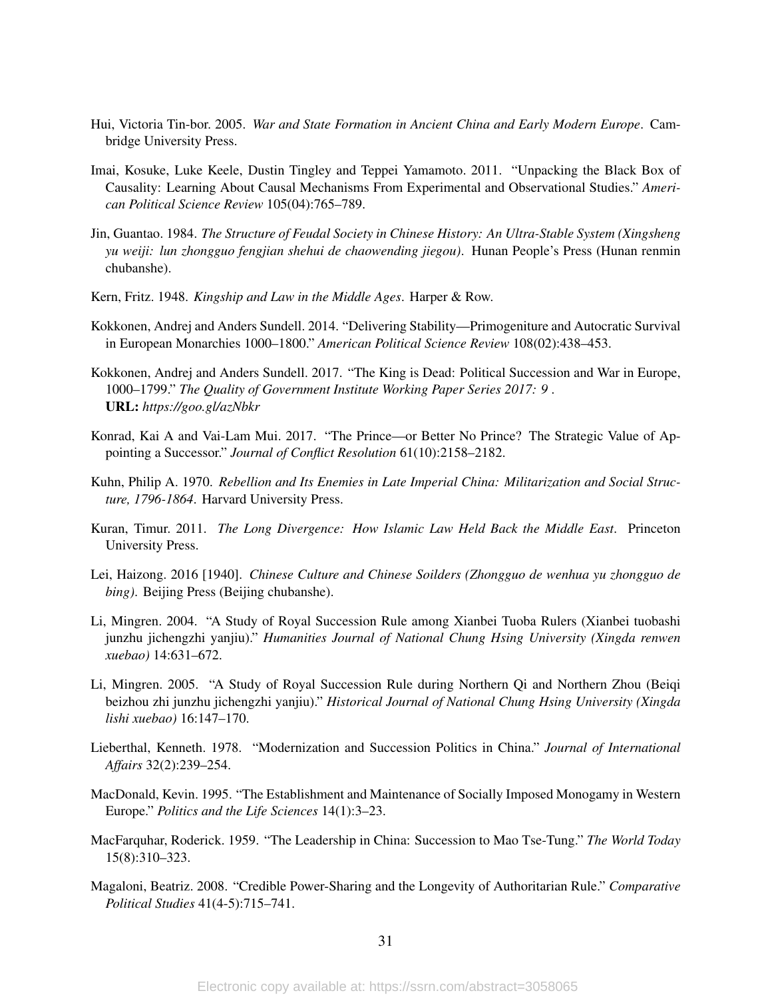- <span id="page-30-2"></span>Hui, Victoria Tin-bor. 2005. *War and State Formation in Ancient China and Early Modern Europe*. Cambridge University Press.
- <span id="page-30-11"></span>Imai, Kosuke, Luke Keele, Dustin Tingley and Teppei Yamamoto. 2011. "Unpacking the Black Box of Causality: Learning About Causal Mechanisms From Experimental and Observational Studies." *American Political Science Review* 105(04):765–789.
- <span id="page-30-13"></span>Jin, Guantao. 1984. *The Structure of Feudal Society in Chinese History: An Ultra-Stable System (Xingsheng yu weiji: lun zhongguo fengjian shehui de chaowending jiegou)*. Hunan People's Press (Hunan renmin chubanshe).
- <span id="page-30-8"></span>Kern, Fritz. 1948. *Kingship and Law in the Middle Ages*. Harper & Row.
- <span id="page-30-0"></span>Kokkonen, Andrej and Anders Sundell. 2014. "Delivering Stability—Primogeniture and Autocratic Survival in European Monarchies 1000–1800." *American Political Science Review* 108(02):438–453.
- <span id="page-30-1"></span>Kokkonen, Andrej and Anders Sundell. 2017. "The King is Dead: Political Succession and War in Europe, 1000–1799." *The Quality of Government Institute Working Paper Series 2017: 9* . URL: *https://goo.gl/azNbkr*
- <span id="page-30-5"></span>Konrad, Kai A and Vai-Lam Mui. 2017. "The Prince—or Better No Prince? The Strategic Value of Appointing a Successor." *Journal of Conflict Resolution* 61(10):2158–2182.
- <span id="page-30-4"></span>Kuhn, Philip A. 1970. *Rebellion and Its Enemies in Late Imperial China: Militarization and Social Structure, 1796-1864*. Harvard University Press.
- <span id="page-30-12"></span>Kuran, Timur. 2011. *The Long Divergence: How Islamic Law Held Back the Middle East*. Princeton University Press.
- <span id="page-30-3"></span>Lei, Haizong. 2016 [1940]. *Chinese Culture and Chinese Soilders (Zhongguo de wenhua yu zhongguo de bing)*. Beijing Press (Beijing chubanshe).
- <span id="page-30-9"></span>Li, Mingren. 2004. "A Study of Royal Succession Rule among Xianbei Tuoba Rulers (Xianbei tuobashi junzhu jichengzhi yanjiu)." *Humanities Journal of National Chung Hsing University (Xingda renwen xuebao)* 14:631–672.
- <span id="page-30-10"></span>Li, Mingren. 2005. "A Study of Royal Succession Rule during Northern Qi and Northern Zhou (Beiqi beizhou zhi junzhu jichengzhi yanjiu)." *Historical Journal of National Chung Hsing University (Xingda lishi xuebao)* 16:147–170.
- <span id="page-30-15"></span>Lieberthal, Kenneth. 1978. "Modernization and Succession Politics in China." *Journal of International Affairs* 32(2):239–254.
- <span id="page-30-7"></span>MacDonald, Kevin. 1995. "The Establishment and Maintenance of Socially Imposed Monogamy in Western Europe." *Politics and the Life Sciences* 14(1):3–23.
- <span id="page-30-14"></span>MacFarquhar, Roderick. 1959. "The Leadership in China: Succession to Mao Tse-Tung." *The World Today* 15(8):310–323.
- <span id="page-30-6"></span>Magaloni, Beatriz. 2008. "Credible Power-Sharing and the Longevity of Authoritarian Rule." *Comparative Political Studies* 41(4-5):715–741.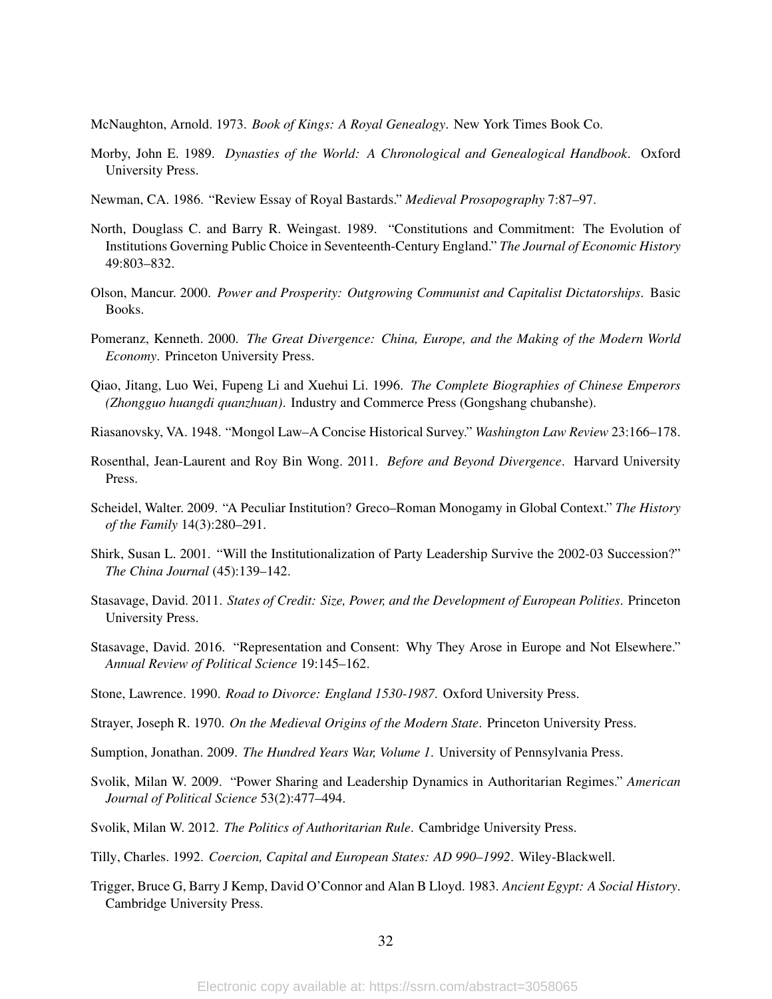<span id="page-31-8"></span>McNaughton, Arnold. 1973. *Book of Kings: A Royal Genealogy*. New York Times Book Co.

- <span id="page-31-9"></span>Morby, John E. 1989. *Dynasties of the World: A Chronological and Genealogical Handbook*. Oxford University Press.
- <span id="page-31-14"></span>Newman, CA. 1986. "Review Essay of Royal Bastards." *Medieval Prosopography* 7:87–97.
- <span id="page-31-4"></span>North, Douglass C. and Barry R. Weingast. 1989. "Constitutions and Commitment: The Evolution of Institutions Governing Public Choice in Seventeenth-Century England." *The Journal of Economic History* 49:803–832.
- <span id="page-31-1"></span>Olson, Mancur. 2000. *Power and Prosperity: Outgrowing Communist and Capitalist Dictatorships*. Basic Books.
- <span id="page-31-6"></span>Pomeranz, Kenneth. 2000. *The Great Divergence: China, Europe, and the Making of the Modern World Economy*. Princeton University Press.
- <span id="page-31-10"></span>Qiao, Jitang, Luo Wei, Fupeng Li and Xuehui Li. 1996. *The Complete Biographies of Chinese Emperors (Zhongguo huangdi quanzhuan)*. Industry and Commerce Press (Gongshang chubanshe).
- <span id="page-31-15"></span>Riasanovsky, VA. 1948. "Mongol Law–A Concise Historical Survey." *Washington Law Review* 23:166–178.
- <span id="page-31-17"></span>Rosenthal, Jean-Laurent and Roy Bin Wong. 2011. *Before and Beyond Divergence*. Harvard University Press.
- <span id="page-31-12"></span>Scheidel, Walter. 2009. "A Peculiar Institution? Greco–Roman Monogamy in Global Context." *The History of the Family* 14(3):280–291.
- <span id="page-31-19"></span>Shirk, Susan L. 2001. "Will the Institutionalization of Party Leadership Survive the 2002-03 Succession?" *The China Journal* (45):139–142.
- <span id="page-31-5"></span>Stasavage, David. 2011. *States of Credit: Size, Power, and the Development of European Polities*. Princeton University Press.
- <span id="page-31-2"></span>Stasavage, David. 2016. "Representation and Consent: Why They Arose in Europe and Not Elsewhere." *Annual Review of Political Science* 19:145–162.
- <span id="page-31-13"></span>Stone, Lawrence. 1990. *Road to Divorce: England 1530-1987*. Oxford University Press.
- <span id="page-31-0"></span>Strayer, Joseph R. 1970. *On the Medieval Origins of the Modern State*. Princeton University Press.
- <span id="page-31-7"></span>Sumption, Jonathan. 2009. *The Hundred Years War, Volume 1*. University of Pennsylvania Press.
- <span id="page-31-11"></span>Svolik, Milan W. 2009. "Power Sharing and Leadership Dynamics in Authoritarian Regimes." *American Journal of Political Science* 53(2):477–494.
- <span id="page-31-18"></span>Svolik, Milan W. 2012. *The Politics of Authoritarian Rule*. Cambridge University Press.
- <span id="page-31-3"></span>Tilly, Charles. 1992. *Coercion, Capital and European States: AD 990–1992*. Wiley-Blackwell.
- <span id="page-31-16"></span>Trigger, Bruce G, Barry J Kemp, David O'Connor and Alan B Lloyd. 1983. *Ancient Egypt: A Social History*. Cambridge University Press.